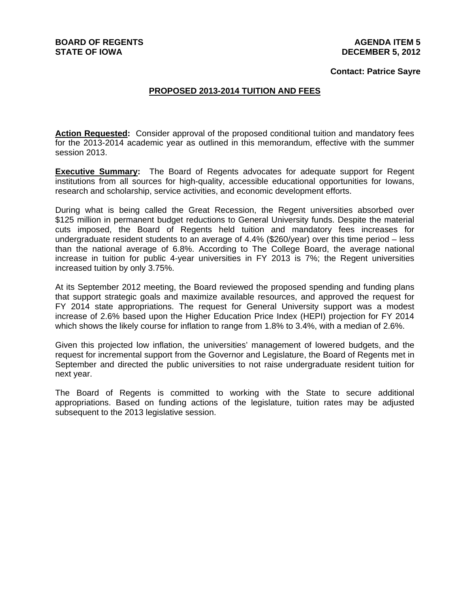# **Contact: Patrice Sayre**

## **PROPOSED 2013-2014 TUITION AND FEES**

Action Requested: Consider approval of the proposed conditional tuition and mandatory fees for the 2013-2014 academic year as outlined in this memorandum, effective with the summer session 2013.

**Executive Summary:** The Board of Regents advocates for adequate support for Regent institutions from all sources for high-quality, accessible educational opportunities for Iowans, research and scholarship, service activities, and economic development efforts.

During what is being called the Great Recession, the Regent universities absorbed over \$125 million in permanent budget reductions to General University funds. Despite the material cuts imposed, the Board of Regents held tuition and mandatory fees increases for undergraduate resident students to an average of 4.4% (\$260/year) over this time period – less than the national average of 6.8%. According to The College Board, the average national increase in tuition for public 4-year universities in FY 2013 is 7%; the Regent universities increased tuition by only 3.75%.

At its September 2012 meeting, the Board reviewed the proposed spending and funding plans that support strategic goals and maximize available resources, and approved the request for FY 2014 state appropriations. The request for General University support was a modest increase of 2.6% based upon the Higher Education Price Index (HEPI) projection for FY 2014 which shows the likely course for inflation to range from 1.8% to 3.4%, with a median of 2.6%.

Given this projected low inflation, the universities' management of lowered budgets, and the request for incremental support from the Governor and Legislature, the Board of Regents met in September and directed the public universities to not raise undergraduate resident tuition for next year.

The Board of Regents is committed to working with the State to secure additional appropriations. Based on funding actions of the legislature, tuition rates may be adjusted subsequent to the 2013 legislative session.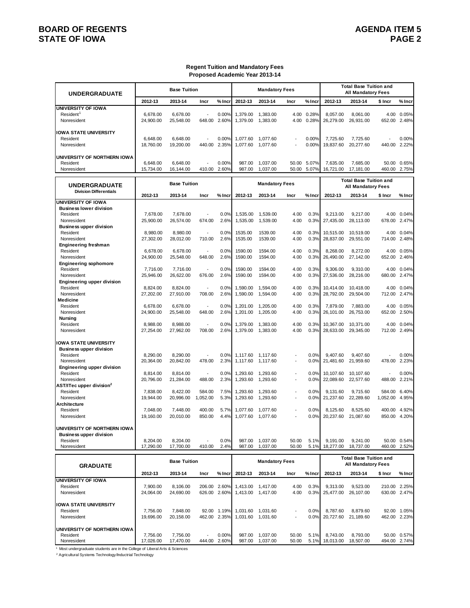# **BOARD OF REGENTS**<br>STATE OF IOWA **AGENDA ITEM 5 STATE OF IOWA**

### **Regent Tuition and Mandatory Fees Proposed Academic Year 2013-14**

| <b>UNDERGRADUATE</b>                             |                       | <b>Base Tuition</b>    |                          |                             |                      | <b>Mandatory Fees</b>                  |                          |                |                        | <b>Total Base Tuition and</b><br>All Mandatory Fees        |                  |                             |
|--------------------------------------------------|-----------------------|------------------------|--------------------------|-----------------------------|----------------------|----------------------------------------|--------------------------|----------------|------------------------|------------------------------------------------------------|------------------|-----------------------------|
|                                                  | 2012-13               | 2013-14                | Incr                     | % Incr                      | 2012-13              | 2013-14                                | Incr                     | % Inci         | 2012-13                | 2013-14                                                    | \$ Incr          | % Incr                      |
| <b>UNIVERSITY OF IOWA</b>                        |                       |                        |                          |                             |                      |                                        |                          |                |                        |                                                            |                  |                             |
| Resident <sup>1</sup><br>Nonresident             | 6,678.00<br>24,900.00 | 6,678.00<br>25,548.00  | 648.00                   | 0.00%<br>2.60%              | 1,379.00<br>1,379.00 | 1,383.00<br>1,383.00                   | 4.00<br>4.00             | 0.28%<br>0.28% | 8,057.00<br>26,279.00  | 8,061.00<br>26,931.00                                      | 4.00<br>652.00   | 0.05%<br>2.48%              |
| <b>IOWA STATE UNIVERSITY</b>                     |                       |                        |                          |                             |                      |                                        |                          |                |                        |                                                            |                  |                             |
| Resident                                         | 6,648.00              | 6,648.00               |                          | 0.00%                       | 1,077.60             | 1,077.60                               |                          | 0.00%          | 7.725.60               | 7,725.60                                                   |                  | 0.00%                       |
| Nonresident                                      | 18,760.00             | 19,200.00              | 440.00                   | 2.35%                       | 1,077.60             | 1,077.60                               |                          | 0.00%          | 19,837.60              | 20,277.60                                                  | 440.00           | 2.22%                       |
| UNIVERSITY OF NORTHERN IOWA                      |                       |                        |                          |                             |                      |                                        |                          |                |                        |                                                            |                  |                             |
| Resident                                         | 6.648.00              | 6,648.00               |                          | 0.00%                       | 987.00               | 1,037.00                               | 50.00                    | 5.07%          | 7,635.00               | 7,685.00                                                   |                  | 50.00 0.65%                 |
| Nonresident                                      | 15,734.00             | 16,144.00              | 410.00                   | 2.60%                       | 987.00               | 1,037.00                               | 50.00                    | 5.07%          | 16,721.00              | 17.181.00                                                  | 460.00           | 2.75%                       |
| <b>UNDERGRADUATE</b>                             |                       | <b>Base Tuition</b>    |                          |                             |                      | <b>Mandatory Fees</b>                  |                          |                |                        | <b>Total Base Tuition and</b><br><b>All Mandatory Fees</b> |                  |                             |
| <b>Division Differentials</b>                    | 2012-13               | 2013-14                | Incr                     | % Incr                      | 2012-13              | 2013-14                                | Incr                     | % Incı         | 2012-13                | 2013-14                                                    | \$ Incr          | % Incr                      |
| UNIVERSITY OF IOWA                               |                       |                        |                          |                             |                      |                                        |                          |                |                        |                                                            |                  |                             |
| <b>Business lower division</b><br>Resident       | 7,678.00              | 7,678.00               |                          | 0.0%                        | 1,535.00             | 1,539.00                               | 4.00                     | 0.3%           | 9.213.00               | 9,217.00                                                   | 4.00             | 0.04%                       |
| Nonresident                                      | 25,900.00             | 26,574.00              | 674.00                   | 2.6%                        | 1,535.00             | 1,539.00                               | 4.00                     | 0.3%           | 27,435.00              | 28,113.00                                                  | 678.00           | 2.47%                       |
| <b>Business upper division</b>                   |                       |                        |                          |                             |                      |                                        |                          |                |                        |                                                            |                  |                             |
| Resident<br>Nonresident                          | 8,980.00<br>27,302.00 | 8.980.00<br>28,012.00  | 710.00                   | 0.0%<br>2.6%                | 1535.00<br>1535.00   | 1539.00<br>1539.00                     | 4.00<br>4.00             | 0.3%<br>0.3%   | 10,515.00<br>28,837.00 | 10,519.00<br>29,551.00                                     | 4.00<br>714.00   | 0.04%<br>2.48%              |
| <b>Engineering freshman</b>                      |                       |                        |                          |                             |                      |                                        |                          |                |                        |                                                            |                  |                             |
| Resident                                         | 6,678.00              | 6,678.00               |                          | 0.0%                        | 1590.00              | 1594.00                                | 4.00                     | 0.3%           | 8.268.00               | 8,272.00                                                   | 4.00             | 0.05%                       |
| Nonresident<br><b>Engineering sophomore</b>      | 24,900.00             | 25,548.00              | 648.00                   | 2.6%                        | 1590.00              | 1594.00                                | 4.00                     | 0.3%           | 26,490.00              | 27,142.00                                                  | 652.00           | 2.46%                       |
| Resident                                         | 7,716.00              | 7,716.00               |                          | 0.0%                        | 1590.00              | 1594.00                                | 4.00                     | 0.3%           | 9,306.00               | 9,310.00                                                   | 4.00             | 0.04%                       |
| Nonresident                                      | 25,946.00             | 26,622.00              | 676.00                   | 2.6%                        | 1590.00              | 1594.00                                | 4.00                     | 0.3%           | 27,536.00              | 28,216.00                                                  | 680.00           | 2.47%                       |
| <b>Engineering upper division</b><br>Resident    | 8,824.00              | 8,824.00               | $\overline{a}$           | 0.0%                        | 1,590.00             | 1,594.00                               | 4.00                     | 0.3%           | 10,414.00              | 10,418.00                                                  | 4.00             | 0.04%                       |
| Nonresident                                      | 27,202.00             | 27,910.00              | 708.00                   | 2.6%                        | 1,590.00             | 1,594.00                               | 4.00                     | 0.3%           | 28,792.00              | 29,504.00                                                  | 712.00           | 2.47%                       |
| Medicine                                         |                       |                        |                          |                             |                      |                                        |                          |                |                        |                                                            |                  |                             |
| Resident                                         | 6,678.00              | 6,678.00               |                          | 0.0%                        | 1,201.00             | 1,205.00                               | 4.00                     | 0.3%           | 7.879.00               | 7,883.00                                                   | 4.00             | 0.05%                       |
| Nonresident<br>Nursing                           | 24,900.00             | 25,548.00              | 648.00                   | 2.6%                        | 1,201.00             | 1,205.00                               | 4.00                     | 0.3%           | 26,101.00              | 26,753.00                                                  | 652.00           | 2.50%                       |
| Resident                                         | 8,988.00              | 8,988.00               |                          | 0.0%                        | 1,379.00             | 1,383.00                               | 4.00                     | 0.3%           | 10,367.00              | 10,371.00                                                  | 4.00             | 0.04%                       |
| Nonresident                                      | 27,254.00             | 27,962.00              | 708.00                   | 2.6%                        | 1,379.00             | 1,383.00                               | 4.00                     | 0.3%           | 28,633.00              | 29,345.00                                                  | 712.00           | 2.49%                       |
| <b>IOWA STATE UNIVERSITY</b>                     |                       |                        |                          |                             |                      |                                        |                          |                |                        |                                                            |                  |                             |
| <b>Business upper division</b>                   |                       |                        |                          |                             |                      |                                        |                          |                |                        |                                                            |                  |                             |
| Resident<br>Nonresident                          | 8,290.00<br>20,364.00 | 8,290.00<br>20,842.00  | 478.00                   | 0.0%<br>2.3%                | 1,117.60<br>1,117.60 | 1,117.60<br>1,117.60                   | $\overline{\phantom{a}}$ | 0.0%<br>0.0%   | 9.407.60<br>21,481.60  | 9,407.60<br>21,959.60                                      | 478.00           | 0.00%<br>2.23%              |
| <b>Engineering upper division</b>                |                       |                        |                          |                             |                      |                                        |                          |                |                        |                                                            |                  |                             |
| Resident                                         | 8,814.00              | 8,814.00               |                          | 0.0%                        | 1,293.60             | 1,293.60                               |                          | 0.0%           | 10,107.60              | 10,107.60                                                  |                  | 0.00%                       |
| Nonresident                                      | 20,796.00             | 21,284.00              | 488.00                   | 2.3%                        | 1,293.60             | 1,293.60                               | $\overline{\phantom{a}}$ | 0.0%           | 22,089.60              | 22,577.60                                                  | 488.00           | 2.21%                       |
| AST/ITec upper division <sup>2</sup><br>Resident | 7,838.00              | 8.422.00               | 584.00                   | 7.5%                        | 1,293.60             | 1,293.60                               | $\blacksquare$           | 0.0%           | 9.131.60               | 9,715.60                                                   | 584.00           | 6.40%                       |
| Nonresident                                      | 19,944.00             | 20,996.00              | 1,052.00                 | 5.3%                        | 1,293.60             | 1,293.60                               | $\overline{\phantom{a}}$ | 0.0%           | 21,237.60              | 22,289.60                                                  | 1,052.00         | 4.95%                       |
| Architecture                                     | 7.048.00              |                        | 400.00                   | 5.7%                        |                      |                                        |                          | 0.0%           |                        |                                                            |                  |                             |
| Resident<br>Nonresident                          | 19,160.00             | 7,448.00<br>20,010.00  | 850.00                   | 4.4%                        | 1,077.60<br>1,077.60 | 1,077.60<br>1,077.60                   |                          | 0.0%           | 8,125.60<br>20,237.60  | 8,525.60<br>21,087.60                                      | 400.00<br>850.00 | 4.92%<br>4.20%              |
|                                                  |                       |                        |                          |                             |                      |                                        |                          |                |                        |                                                            |                  |                             |
| UNIVERSITY OF NORTHERN IOWA                      |                       |                        |                          |                             |                      |                                        |                          |                |                        |                                                            |                  |                             |
| <b>Business upper division</b><br>Resident       | 8,204.00              | 8,204.00               |                          | 0.0%                        | 987.00               | 1,037.00                               | 50.00                    | 5.1%           | 9,191.00               | 9,241.00                                                   |                  | 50.00 0.54%                 |
| Nonresident                                      | 17,290.00             | 17,700.00              | 410.00                   | 2.4%                        | 987.00               | 1,037.00                               | 50.00                    | 5.1%           | 18,277.00              | 18,737.00                                                  | 460.00           | 2.52%                       |
|                                                  |                       | <b>Base Tuition</b>    |                          |                             |                      | <b>Mandatory Fees</b>                  |                          |                |                        | <b>Total Base Tuition and</b>                              |                  |                             |
| <b>GRADUATE</b>                                  |                       |                        |                          |                             |                      |                                        |                          |                |                        | <b>All Mandatory Fees</b>                                  |                  |                             |
|                                                  | 2012-13               | 2013-14                | Incr                     | $%$ Incr                    | 2012-13              | 2013-14                                | Incr                     | % Incr         | 2012-13                | 2013-14                                                    | \$ Incr          | % Incr                      |
| <b>UNIVERSITY OF IOWA</b>                        |                       |                        |                          | 206.00 2.60%                |                      |                                        |                          | 0.3%           |                        |                                                            |                  | 210.00 2.25%                |
| Resident<br>Nonresident                          | 7,900.00<br>24,064.00 | 8,106.00<br>24,690.00  |                          | 626.00 2.60%                | 1,413.00<br>1,413.00 | 1,417.00<br>1,417.00                   | 4.00<br>4.00             | 0.3%           | 9,313.00<br>25,477.00  | 9,523.00<br>26,107.00                                      |                  | 630.00 2.47%                |
|                                                  |                       |                        |                          |                             |                      |                                        |                          |                |                        |                                                            |                  |                             |
| <b>IOWA STATE UNIVERSITY</b>                     |                       |                        |                          |                             |                      |                                        |                          |                |                        |                                                            |                  |                             |
| Resident<br>Nonresident                          | 7,756.00<br>19,696.00 | 7,848.00<br>20, 158.00 |                          | 92.00 1.19%<br>462.00 2.35% |                      | 1,031.60 1,031.60<br>1,031.60 1,031.60 |                          | 0.0%<br>0.0%   | 8,787.60<br>20,727.60  | 8,879.60<br>21,189.60                                      |                  | 92.00 1.05%<br>462.00 2.23% |
|                                                  |                       |                        |                          |                             |                      |                                        |                          |                |                        |                                                            |                  |                             |
| UNIVERSITY OF NORTHERN IOWA                      |                       |                        |                          |                             |                      |                                        |                          |                |                        |                                                            |                  |                             |
| Resident<br>Nonresident                          | 7,756.00<br>17,026.00 | 7,756.00<br>17,470.00  | $\overline{\phantom{a}}$ | 0.00%<br>444.00 2.60%       | 987.00<br>987.00     | 1,037.00<br>1,037.00                   | 50.00<br>50.00           | 5.1%<br>5.1%   | 8,743.00<br>18,013.00  | 8,793.00<br>18,507.00                                      |                  | 50.00 0.57%<br>494.00 2.74% |
|                                                  |                       |                        |                          |                             |                      |                                        |                          |                |                        |                                                            |                  |                             |

1 Most undergraduate students are in the College of Liberal Arts & Sciences

2 Agricultural Systems Technology/Inductrial Technology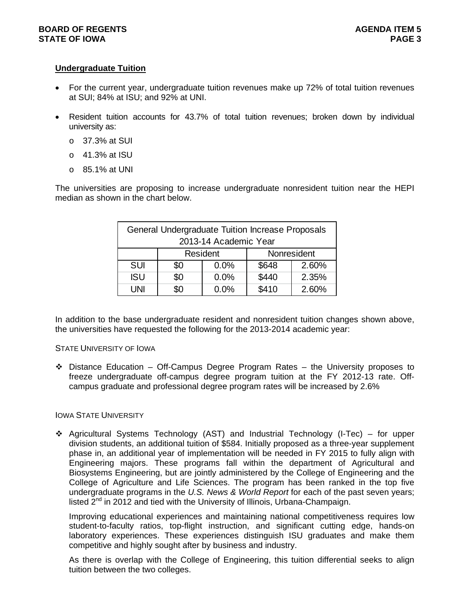# **Undergraduate Tuition**

- For the current year, undergraduate tuition revenues make up 72% of total tuition revenues at SUI; 84% at ISU; and 92% at UNI.
- Resident tuition accounts for 43.7% of total tuition revenues; broken down by individual university as:
	- o 37.3% at SUI
	- o 41.3% at ISU
	- o 85.1% at UNI

The universities are proposing to increase undergraduate nonresident tuition near the HEPI median as shown in the chart below.

|            |     | General Undergraduate Tuition Increase Proposals<br>2013-14 Academic Year |             |       |
|------------|-----|---------------------------------------------------------------------------|-------------|-------|
|            |     | Resident                                                                  | Nonresident |       |
| <b>SUI</b> | \$0 | 0.0%                                                                      | \$648       | 2.60% |
| <b>ISU</b> | \$0 | 0.0%                                                                      | \$440       | 2.35% |
| UNI        | \$0 | 0.0%                                                                      | \$410       | 2.60% |

In addition to the base undergraduate resident and nonresident tuition changes shown above, the universities have requested the following for the 2013-2014 academic year:

# STATE UNIVERSITY OF IOWA

 $\div$  Distance Education – Off-Campus Degree Program Rates – the University proposes to freeze undergraduate off-campus degree program tuition at the FY 2012-13 rate. Offcampus graduate and professional degree program rates will be increased by 2.6%

# IOWA STATE UNIVERSITY

 $\div$  Agricultural Systems Technology (AST) and Industrial Technology (I-Tec) – for upper division students, an additional tuition of \$584. Initially proposed as a three-year supplement phase in, an additional year of implementation will be needed in FY 2015 to fully align with Engineering majors. These programs fall within the department of Agricultural and Biosystems Engineering, but are jointly administered by the College of Engineering and the College of Agriculture and Life Sciences. The program has been ranked in the top five undergraduate programs in the *U.S. News & World Report* for each of the past seven years; listed  $2^{nd}$  in 2012 and tied with the University of Illinois, Urbana-Champaign.

Improving educational experiences and maintaining national competitiveness requires low student-to-faculty ratios, top-flight instruction, and significant cutting edge, hands-on laboratory experiences. These experiences distinguish ISU graduates and make them competitive and highly sought after by business and industry.

As there is overlap with the College of Engineering, this tuition differential seeks to align tuition between the two colleges.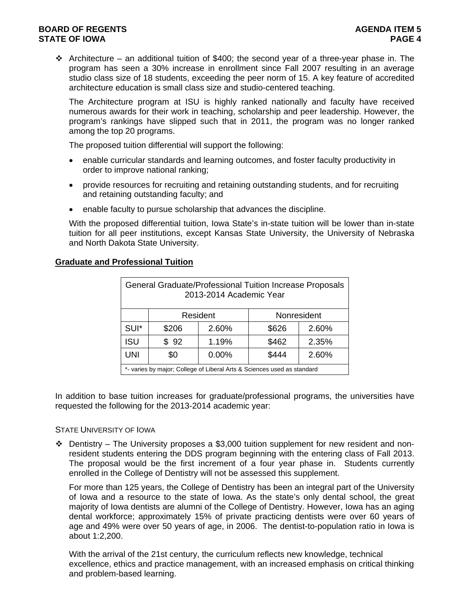# **BOARD OF REGENTS AGENTS** AGENERATION OF REGENTS AGENERATION OF REGENTS AGENERATION OF REGENTS AGENERATION OF STRUCK AGENERATION OF  $\sim$ **STATE OF IOWA** PAGE 4

Architecture – an additional tuition of \$400; the second year of a three-year phase in. The program has seen a 30% increase in enrollment since Fall 2007 resulting in an average studio class size of 18 students, exceeding the peer norm of 15. A key feature of accredited architecture education is small class size and studio-centered teaching.

The Architecture program at ISU is highly ranked nationally and faculty have received numerous awards for their work in teaching, scholarship and peer leadership. However, the program's rankings have slipped such that in 2011, the program was no longer ranked among the top 20 programs.

The proposed tuition differential will support the following:

- enable curricular standards and learning outcomes, and foster faculty productivity in order to improve national ranking;
- provide resources for recruiting and retaining outstanding students, and for recruiting and retaining outstanding faculty; and
- enable faculty to pursue scholarship that advances the discipline.

With the proposed differential tuition, Iowa State's in-state tuition will be lower than in-state tuition for all peer institutions, except Kansas State University, the University of Nebraska and North Dakota State University.

|            |       | 2013-2014 Academic Year | General Graduate/Professional Tuition Increase Proposals                |             |
|------------|-------|-------------------------|-------------------------------------------------------------------------|-------------|
|            |       | Resident                |                                                                         | Nonresident |
| SUI*       | \$206 | 2.60%                   | \$626                                                                   | 2.60%       |
| <b>ISU</b> | \$92  | 1.19%                   | \$462                                                                   | 2.35%       |
| <b>UNI</b> | \$0   | 0.00%                   | \$444                                                                   | 2.60%       |
|            |       |                         | *- varies by major; College of Liberal Arts & Sciences used as standard |             |

# **Graduate and Professional Tuition**

In addition to base tuition increases for graduate/professional programs, the universities have requested the following for the 2013-2014 academic year:

# STATE UNIVERSITY OF IOWA

 $\div$  Dentistry – The University proposes a \$3,000 tuition supplement for new resident and nonresident students entering the DDS program beginning with the entering class of Fall 2013. The proposal would be the first increment of a four year phase in. Students currently enrolled in the College of Dentistry will not be assessed this supplement.

For more than 125 years, the College of Dentistry has been an integral part of the University of Iowa and a resource to the state of Iowa. As the state's only dental school, the great majority of Iowa dentists are alumni of the College of Dentistry. However, Iowa has an aging dental workforce; approximately 15% of private practicing dentists were over 60 years of age and 49% were over 50 years of age, in 2006. The dentist-to-population ratio in Iowa is about 1:2,200.

With the arrival of the 21st century, the curriculum reflects new knowledge, technical excellence, ethics and practice management, with an increased emphasis on critical thinking and problem-based learning.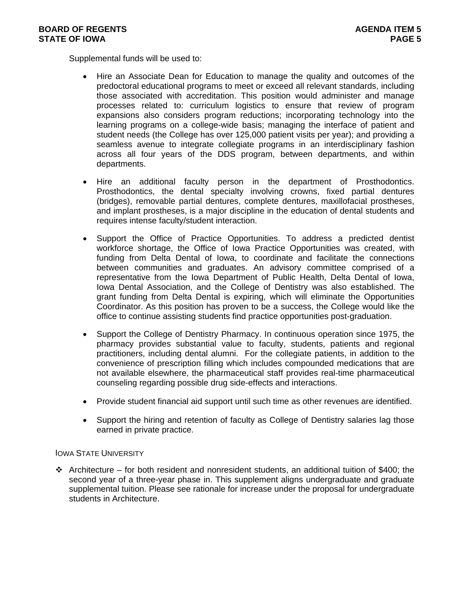Supplemental funds will be used to:

- Hire an Associate Dean for Education to manage the quality and outcomes of the predoctoral educational programs to meet or exceed all relevant standards, including those associated with accreditation. This position would administer and manage processes related to: curriculum logistics to ensure that review of program expansions also considers program reductions; incorporating technology into the learning programs on a college-wide basis; managing the interface of patient and student needs (the College has over 125,000 patient visits per year); and providing a seamless avenue to integrate collegiate programs in an interdisciplinary fashion across all four years of the DDS program, between departments, and within departments.
- Hire an additional faculty person in the department of Prosthodontics. Prosthodontics, the dental specialty involving crowns, fixed partial dentures (bridges), removable partial dentures, complete dentures, maxillofacial prostheses, and implant prostheses, is a major discipline in the education of dental students and requires intense faculty/student interaction.
- Support the Office of Practice Opportunities. To address a predicted dentist workforce shortage, the Office of Iowa Practice Opportunities was created, with funding from Delta Dental of Iowa, to coordinate and facilitate the connections between communities and graduates. An advisory committee comprised of a representative from the Iowa Department of Public Health, Delta Dental of Iowa, Iowa Dental Association, and the College of Dentistry was also established. The grant funding from Delta Dental is expiring, which will eliminate the Opportunities Coordinator. As this position has proven to be a success, the College would like the office to continue assisting students find practice opportunities post-graduation.
- Support the College of Dentistry Pharmacy. In continuous operation since 1975, the pharmacy provides substantial value to faculty, students, patients and regional practitioners, including dental alumni. For the collegiate patients, in addition to the convenience of prescription filling which includes compounded medications that are not available elsewhere, the pharmaceutical staff provides real-time pharmaceutical counseling regarding possible drug side-effects and interactions.
- Provide student financial aid support until such time as other revenues are identified.
- Support the hiring and retention of faculty as College of Dentistry salaries lag those earned in private practice.

# IOWA STATE UNIVERSITY

 $\cdot \cdot$  Architecture – for both resident and nonresident students, an additional tuition of \$400; the second year of a three-year phase in. This supplement aligns undergraduate and graduate supplemental tuition. Please see rationale for increase under the proposal for undergraduate students in Architecture.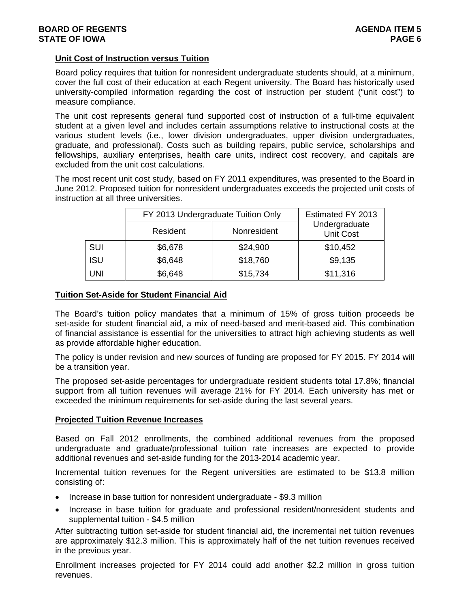# **Unit Cost of Instruction versus Tuition**

Board policy requires that tuition for nonresident undergraduate students should, at a minimum, cover the full cost of their education at each Regent university. The Board has historically used university-compiled information regarding the cost of instruction per student ("unit cost") to measure compliance.

The unit cost represents general fund supported cost of instruction of a full-time equivalent student at a given level and includes certain assumptions relative to instructional costs at the various student levels (i.e., lower division undergraduates, upper division undergraduates, graduate, and professional). Costs such as building repairs, public service, scholarships and fellowships, auxiliary enterprises, health care units, indirect cost recovery, and capitals are excluded from the unit cost calculations.

The most recent unit cost study, based on FY 2011 expenditures, was presented to the Board in June 2012. Proposed tuition for nonresident undergraduates exceeds the projected unit costs of instruction at all three universities.

|            | FY 2013 Undergraduate Tuition Only |             | Estimated FY 2013                 |
|------------|------------------------------------|-------------|-----------------------------------|
|            | Resident                           | Nonresident | Undergraduate<br><b>Unit Cost</b> |
| <b>SUI</b> | \$6,678                            | \$24,900    | \$10,452                          |
| <b>ISU</b> | \$6,648                            | \$18,760    | \$9,135                           |
| UNI        | \$6,648                            | \$15,734    | \$11,316                          |

# **Tuition Set-Aside for Student Financial Aid**

The Board's tuition policy mandates that a minimum of 15% of gross tuition proceeds be set-aside for student financial aid, a mix of need-based and merit-based aid. This combination of financial assistance is essential for the universities to attract high achieving students as well as provide affordable higher education.

The policy is under revision and new sources of funding are proposed for FY 2015. FY 2014 will be a transition year.

The proposed set-aside percentages for undergraduate resident students total 17.8%; financial support from all tuition revenues will average 21% for FY 2014. Each university has met or exceeded the minimum requirements for set-aside during the last several years.

# **Projected Tuition Revenue Increases**

Based on Fall 2012 enrollments, the combined additional revenues from the proposed undergraduate and graduate/professional tuition rate increases are expected to provide additional revenues and set-aside funding for the 2013-2014 academic year.

Incremental tuition revenues for the Regent universities are estimated to be \$13.8 million consisting of:

- Increase in base tuition for nonresident undergraduate \$9.3 million
- Increase in base tuition for graduate and professional resident/nonresident students and supplemental tuition - \$4.5 million

After subtracting tuition set-aside for student financial aid, the incremental net tuition revenues are approximately \$12.3 million. This is approximately half of the net tuition revenues received in the previous year.

Enrollment increases projected for FY 2014 could add another \$2.2 million in gross tuition revenues.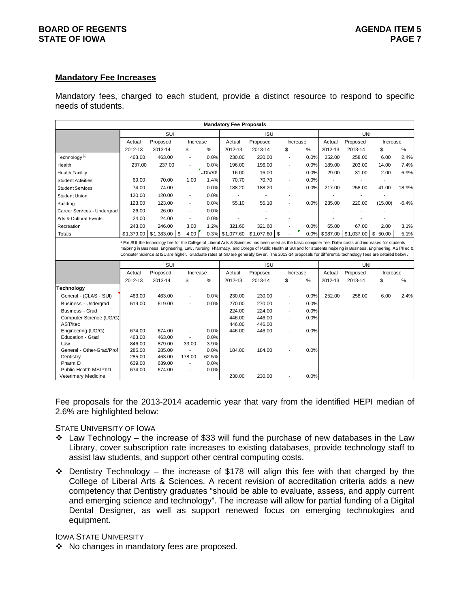# **BOARD OF REGENTS AGENTS** AGENERATION OF REGENTS AGENERATION OF REGENTS AGENERATION OF REGENTS AGENERATION OF STRUCK AGENERATION OF  $\sim$ **STATE OF IOWA** PAGE 7

### **Mandatory Fee Increases**

Mandatory fees, charged to each student, provide a distinct resource to respond to specific needs of students.

|                                             |            |                                                                                                                                                                                                                                                                                                                                    |                          |         | <b>Mandatory Fee Proposals</b> |                        |                          |      |                   |                     |                |         |
|---------------------------------------------|------------|------------------------------------------------------------------------------------------------------------------------------------------------------------------------------------------------------------------------------------------------------------------------------------------------------------------------------------|--------------------------|---------|--------------------------------|------------------------|--------------------------|------|-------------------|---------------------|----------------|---------|
|                                             |            | SUI                                                                                                                                                                                                                                                                                                                                |                          |         |                                | <b>ISU</b>             |                          |      |                   | <b>UNI</b>          |                |         |
|                                             | Actual     | Proposed                                                                                                                                                                                                                                                                                                                           | Increase                 |         | Actual                         | Proposed               | Increase                 |      | Actual            | Proposed            | Increase       |         |
|                                             | 2012-13    | 2013-14                                                                                                                                                                                                                                                                                                                            | \$                       | %       | 2012-13                        | 2013-14                | \$                       | %    | 2012-13           | 2013-14             | \$             | %       |
| Technology <sup>(1)</sup>                   | 463.00     | 463.00                                                                                                                                                                                                                                                                                                                             | $\blacksquare$           | 0.0%    | 230.00                         | 230.00                 | $\blacksquare$           | 0.0% | 252.00            | 258.00              | 6.00           | 2.4%    |
| Health                                      | 237.00     | 237.00                                                                                                                                                                                                                                                                                                                             |                          | 0.0%    | 196.00                         | 196.00                 | $\overline{a}$           | 0.0% | 189.00            | 203.00              | 14.00          | 7.4%    |
| <b>Health Facility</b>                      |            |                                                                                                                                                                                                                                                                                                                                    | P<br>٠                   | #DIV/0! | 16.00                          | 16.00                  | $\overline{a}$           | 0.0% | 29.00             | 31.00               | 2.00           | 6.9%    |
| <b>Student Activities</b>                   | 69.00      | 70.00                                                                                                                                                                                                                                                                                                                              | 1.00                     | 1.4%    | 70.70                          | 70.70                  | $\overline{a}$           | 0.0% |                   |                     |                |         |
| <b>Student Services</b>                     | 74.00      | 74.00                                                                                                                                                                                                                                                                                                                              | $\overline{\phantom{a}}$ | 0.0%    | 188.20                         | 188.20                 | ٠                        | 0.0% | 217.00            | 258.00              | 41.00          | 18.9%   |
| <b>Student Union</b>                        | 120.00     | 120.00                                                                                                                                                                                                                                                                                                                             | ٠                        | 0.0%    | $\blacksquare$                 |                        |                          |      |                   |                     |                |         |
| <b>Building</b>                             | 123.00     | 123.00                                                                                                                                                                                                                                                                                                                             | $\blacksquare$           | 0.0%    | 55.10                          | 55.10                  |                          | 0.0% | 235.00            | 220.00              | (15.00)        | $-6.4%$ |
| Career Services - Undergrad                 | 26.00      | 26.00                                                                                                                                                                                                                                                                                                                              | $\blacksquare$           | 0.0%    |                                |                        |                          |      |                   |                     |                |         |
| Arts & Cultural Events                      | 24.00      | 24.00                                                                                                                                                                                                                                                                                                                              | $\overline{\phantom{a}}$ | 0.0%    |                                |                        |                          |      |                   |                     |                |         |
| Recreation                                  | 243.00     | 246.00                                                                                                                                                                                                                                                                                                                             | 3.00                     | 1.2%    | 321.60                         | 321.60                 |                          | 0.0% | 65.00             | 67.00               | 2.00           | 3.1%    |
| <b>Totals</b>                               | \$1.379.00 | $$1,383.00$ \\$                                                                                                                                                                                                                                                                                                                    | 4.00                     | 0.3%    | \$1,077.60                     | \$1.077.60             | \$                       | 0.0% | \$987.00          | \$1.037.00          | \$<br>50.00    | 5.1%    |
|                                             |            | majoring in Business, Engineering, Law, Nursing, Pharmacy, and College of Public Health at SUI and for students majoring in Business, Engineering, AST/ITec &<br>Computer Science at ISU are higher. Graduate rates at ISU are generally low er. The 2013-14 proposals for differential technology fees are detailed below.<br>SUI |                          |         |                                |                        |                          |      |                   | UNI                 |                |         |
|                                             | Actual     |                                                                                                                                                                                                                                                                                                                                    |                          |         | Actual                         | <b>ISU</b><br>Proposed | Increase                 |      |                   |                     |                |         |
|                                             | 2012-13    | Proposed<br>2013-14                                                                                                                                                                                                                                                                                                                | Increase<br>\$           | $\%$    | 2012-13                        | 2013-14                | \$                       | $\%$ | Actual<br>2012-13 | Proposed<br>2013-14 | Increase<br>\$ | $\%$    |
| <b>Technology</b>                           |            |                                                                                                                                                                                                                                                                                                                                    |                          |         |                                |                        |                          |      |                   |                     |                |         |
| General - (CLAS - SUI)                      | 463.00     | 463.00                                                                                                                                                                                                                                                                                                                             |                          | 0.0%    | 230.00                         | 230.00                 | $\overline{a}$           | 0.0% | 252.00            | 258.00              | 6.00           | 2.4%    |
| <b>Business - Undergrad</b>                 | 619.00     | 619.00                                                                                                                                                                                                                                                                                                                             |                          | 0.0%    | 270.00                         | 270.00                 | L,                       | 0.0% |                   |                     |                |         |
| Business - Grad                             |            |                                                                                                                                                                                                                                                                                                                                    |                          |         | 224.00                         | 224.00                 | $\overline{a}$           | 0.0% |                   |                     |                |         |
| Computer Science (UG/G)                     |            |                                                                                                                                                                                                                                                                                                                                    |                          |         | 446.00                         | 446.00                 | $\overline{\phantom{a}}$ | 0.0% |                   |                     |                |         |
| AST/Itec                                    |            |                                                                                                                                                                                                                                                                                                                                    |                          |         | 446.00                         | 446.00                 |                          |      |                   |                     |                |         |
| Engineering (UG/G)                          | 674.00     | 674.00                                                                                                                                                                                                                                                                                                                             | $\frac{1}{2}$            | 0.0%    | 446.00                         | 446.00                 |                          | 0.0% |                   |                     |                |         |
| Education - Grad                            | 463.00     | 463.00                                                                                                                                                                                                                                                                                                                             | $\sim$                   | 0.0%    |                                |                        |                          |      |                   |                     |                |         |
| Law                                         | 846.00     | 879.00                                                                                                                                                                                                                                                                                                                             | 33.00                    | 3.9%    |                                |                        |                          |      |                   |                     |                |         |
| General - Other-Grad/Prof                   | 285.00     | 285.00                                                                                                                                                                                                                                                                                                                             | $\overline{\phantom{a}}$ | 0.0%    | 184.00                         | 184.00                 |                          | 0.0% |                   |                     |                |         |
| Dentistry                                   | 285.00     | 463.00                                                                                                                                                                                                                                                                                                                             | 178.00                   | 62.5%   |                                |                        |                          |      |                   |                     |                |         |
| Pharm D                                     | 639.00     | 639.00                                                                                                                                                                                                                                                                                                                             | $\overline{\phantom{a}}$ | 0.0%    |                                |                        |                          |      |                   |                     |                |         |
| Public Health MS/PhD<br>Veterimary Medicine | 674.00     | 674.00                                                                                                                                                                                                                                                                                                                             | $\overline{\phantom{a}}$ | 0.0%    | 230.00                         | 230.00                 |                          | 0.0% |                   |                     |                |         |
|                                             |            |                                                                                                                                                                                                                                                                                                                                    |                          |         |                                |                        |                          |      |                   |                     |                |         |

Fee proposals for the 2013-2014 academic year that vary from the identified HEPI median of 2.6% are highlighted below:

STATE UNIVERSITY OF IOWA

- $\div$  Law Technology the increase of \$33 will fund the purchase of new databases in the Law Library, cover subscription rate increases to existing databases, provide technology staff to assist law students, and support other central computing costs.
- Dentistry Technology the increase of \$178 will align this fee with that charged by the College of Liberal Arts & Sciences. A recent revision of accreditation criteria adds a new competency that Dentistry graduates "should be able to evaluate, assess, and apply current and emerging science and technology". The increase will allow for partial funding of a Digital Dental Designer, as well as support renewed focus on emerging technologies and equipment.

# IOWA STATE UNIVERSITY

❖ No changes in mandatory fees are proposed.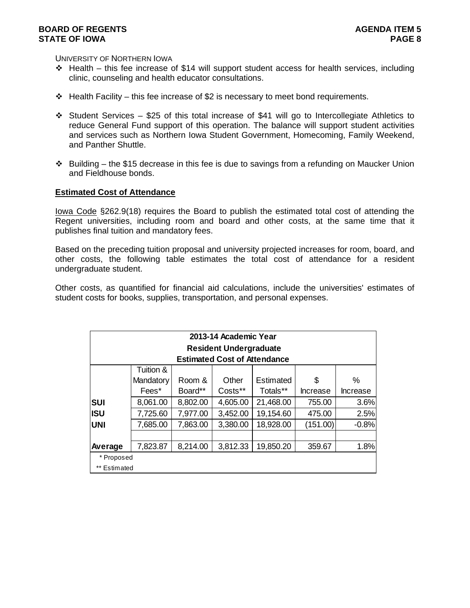UNIVERSITY OF NORTHERN IOWA

- $\div$  Health this fee increase of \$14 will support student access for health services, including clinic, counseling and health educator consultations.
- $\div$  Health Facility this fee increase of \$2 is necessary to meet bond requirements.
- $\div$  Student Services \$25 of this total increase of \$41 will go to Intercollegiate Athletics to reduce General Fund support of this operation. The balance will support student activities and services such as Northern Iowa Student Government, Homecoming, Family Weekend, and Panther Shuttle.
- $\cdot \cdot$  Building the \$15 decrease in this fee is due to savings from a refunding on Maucker Union and Fieldhouse bonds.

### **Estimated Cost of Attendance**

Iowa Code §262.9(18) requires the Board to publish the estimated total cost of attending the Regent universities, including room and board and other costs, at the same time that it publishes final tuition and mandatory fees.

Based on the preceding tuition proposal and university projected increases for room, board, and other costs, the following table estimates the total cost of attendance for a resident undergraduate student.

Other costs, as quantified for financial aid calculations, include the universities' estimates of student costs for books, supplies, transportation, and personal expenses.

|              |           |          | 2013-14 Academic Year               |           |                 |          |
|--------------|-----------|----------|-------------------------------------|-----------|-----------------|----------|
|              |           |          | <b>Resident Undergraduate</b>       |           |                 |          |
|              |           |          | <b>Estimated Cost of Attendance</b> |           |                 |          |
|              | Tuition & |          |                                     |           |                 |          |
|              | Mandatory | Room &   | Other                               | Estimated | \$              | ℅        |
|              | Fees*     | Board**  | Costs**                             | Totals**  | <b>Increase</b> | Increase |
| <b>SUI</b>   | 8,061.00  | 8,802.00 | 4,605.00                            | 21,468.00 | 755.00          | 3.6%     |
| <b>ISU</b>   | 7,725.60  | 7,977.00 | 3,452.00                            | 19,154.60 | 475.00          | 2.5%     |
| <b>UNI</b>   | 7,685.00  | 7,863.00 | 3,380.00                            | 18,928.00 | (151.00)        | $-0.8%$  |
|              |           |          |                                     |           |                 |          |
| Average      | 7,823.87  | 8,214.00 | 3,812.33                            | 19,850.20 | 359.67          | 1.8%     |
| * Proposed   |           |          |                                     |           |                 |          |
| ** Estimated |           |          |                                     |           |                 |          |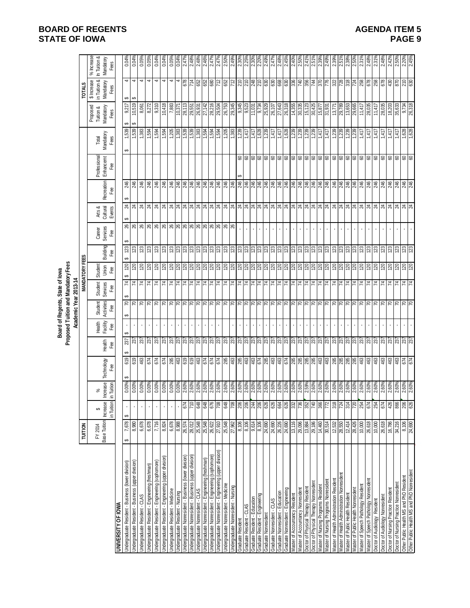|                                                          |                            |                                           |                                     |                                                                                                                                                                                                                                                                                                                     |                                            |                           | Proposed Tuition and Mandatory Fees<br>Board of Regents, State of lowa |                                            |                         |                 |                           |                              |                  |                                  |                                                                          |                                                                                        |                                                                                                                    |                                                 |
|----------------------------------------------------------|----------------------------|-------------------------------------------|-------------------------------------|---------------------------------------------------------------------------------------------------------------------------------------------------------------------------------------------------------------------------------------------------------------------------------------------------------------------|--------------------------------------------|---------------------------|------------------------------------------------------------------------|--------------------------------------------|-------------------------|-----------------|---------------------------|------------------------------|------------------|----------------------------------|--------------------------------------------------------------------------|----------------------------------------------------------------------------------------|--------------------------------------------------------------------------------------------------------------------|-------------------------------------------------|
|                                                          | TUITION                    |                                           |                                     |                                                                                                                                                                                                                                                                                                                     |                                            |                           | Academic Year 2013-14                                                  |                                            | <b>MANDATORY FEES</b>   |                 |                           |                              |                  |                                  |                                                                          |                                                                                        | <b>TOTALS</b>                                                                                                      |                                                 |
|                                                          | Base Tuition<br>FY 2014    | in Tuition<br><b>Increase</b><br>↮        | <b>Increase</b><br>in Tuition<br>వ్ | Technology<br>Fæ                                                                                                                                                                                                                                                                                                    | Heath<br>Fee                               | Health<br>Facility<br>Fee | Activities<br>Student<br>Fee                                           | Student<br>Services<br>Fee                 | Student<br>Union<br>Fee | Building<br>Fee | Career<br>Services<br>Fee | Arts &<br>Cultural<br>Events | Recreation<br>Fæ | Professional<br>Enhancemt<br>Fee | Mandatory<br>Total<br>Fees                                               | Proposed<br>Tuition &<br>Mandatory<br>Fees                                             | in Tuition &<br>\$ Increase<br>Mandatory<br>Fees                                                                   | % Increase<br>In Tuition &<br>Mandatory<br>Fees |
| <b>UNIVERSITY OF IOWA</b>                                |                            |                                           |                                     |                                                                                                                                                                                                                                                                                                                     |                                            |                           |                                                                        |                                            |                         |                 |                           |                              |                  |                                  |                                                                          |                                                                                        |                                                                                                                    |                                                 |
| Indergraduate Resident - Business (lower division)       | 7,678<br>↮                 | ↮                                         | 0.00%                               | 619                                                                                                                                                                                                                                                                                                                 | 237                                        |                           | $\mathcal{L}$<br>↮                                                     | 4<br>GA                                    | 120<br>69               | ↮<br>123<br>↮   | 26                        | ↮<br>$\overline{24}$         | 246              |                                  | 1,539<br>↮                                                               | 9,217<br>↮                                                                             | 4<br>$\pmb{\varphi}$                                                                                               | 0.04%                                           |
| Indergraduate Resident - Business (upper division)       | 8,980                      |                                           | 0.00%                               | 619                                                                                                                                                                                                                                                                                                                 | 237                                        |                           |                                                                        | $\mathcal{L}$                              |                         | 123             |                           |                              | 246              |                                  | 539                                                                      | 10,519<br>€                                                                            | $\blacktriangleleft$<br>↔                                                                                          | 0.04%                                           |
| Jndergraduate Resident - CLAS                            | 6,678                      |                                           | 0.00%                               |                                                                                                                                                                                                                                                                                                                     |                                            |                           |                                                                        | $\mathbf{z}$                               |                         | 123             |                           |                              | 246              |                                  |                                                                          | 8,061                                                                                  | 4                                                                                                                  | 0.05%                                           |
| Jndergraduate Resident - Engineering (freshman)          | 6,678                      |                                           | 0.00%                               | 463<br>674                                                                                                                                                                                                                                                                                                          |                                            |                           | RRR                                                                    |                                            | 2822                    |                 |                           |                              | 246              |                                  | $\frac{168}{168}$                                                        | 8,272                                                                                  | $\blacktriangleleft$                                                                                               | 0.05%                                           |
| Indergraduate Resident - Engineering (sophomore)         | 7,716                      |                                           | 0.00%                               |                                                                                                                                                                                                                                                                                                                     |                                            |                           |                                                                        |                                            |                         | $\frac{23}{23}$ |                           |                              | 246              |                                  |                                                                          | 9,310                                                                                  | $\blacktriangleleft$                                                                                               | 0.04%                                           |
| Indergraduate Resident - Engineering (upper division     | 8,824                      |                                           | 0.00%                               | 674                                                                                                                                                                                                                                                                                                                 |                                            |                           | $\approx$                                                              | <u>  प्र  प्र  प्र  प्र  प्र  प्र  प्र</u> |                         | 123             |                           |                              | 246              |                                  |                                                                          | 10,418                                                                                 | 4                                                                                                                  | 0.04%                                           |
| Jndergraduate Resident - Medicine                        | 6,678                      |                                           | 0.00%                               | 86<br>463                                                                                                                                                                                                                                                                                                           |                                            |                           |                                                                        |                                            |                         | 123             |                           |                              | 246              |                                  |                                                                          | 7,883                                                                                  | 4                                                                                                                  | 0.05%                                           |
| Indergraduate Resident - Nursing                         | 8,988                      |                                           | 0.00%                               |                                                                                                                                                                                                                                                                                                                     |                                            |                           |                                                                        |                                            |                         | 123             |                           |                              | 246              |                                  |                                                                          | 10,371                                                                                 | 4                                                                                                                  | 0.04%                                           |
| Indergraduate Nonresident - Business (lower division)    | 26,574                     | 674                                       |                                     |                                                                                                                                                                                                                                                                                                                     |                                            | $\mathbf{r}$              |                                                                        |                                            |                         |                 |                           |                              |                  |                                  |                                                                          |                                                                                        |                                                                                                                    | 2.47%                                           |
| Jndergraduate Nonresident - Business (upper division)    |                            | 710                                       |                                     |                                                                                                                                                                                                                                                                                                                     |                                            | $\mathbf{r}$              |                                                                        |                                            |                         |                 |                           |                              |                  |                                  |                                                                          |                                                                                        |                                                                                                                    | 2.48%                                           |
| Indergraduate Nonresident - CLAS                         | 28,012<br>25,548<br>25,548 | 648                                       | $\frac{8}{100}$                     | $\frac{1}{2}$ $\frac{1}{2}$ $\frac{1}{2}$ $\frac{1}{2}$ $\frac{1}{2}$ $\frac{1}{2}$ $\frac{1}{2}$ $\frac{1}{2}$ $\frac{1}{2}$ $\frac{1}{2}$ $\frac{1}{2}$ $\frac{1}{2}$ $\frac{1}{2}$ $\frac{1}{2}$ $\frac{1}{2}$ $\frac{1}{2}$ $\frac{1}{2}$ $\frac{1}{2}$ $\frac{1}{2}$ $\frac{1}{2}$ $\frac{1}{2}$ $\frac{1}{2}$ |                                            |                           |                                                                        |                                            |                         | ន្ទ្រន្ទ្រន្ទ្រ |                           |                              |                  |                                  |                                                                          | $\frac{12}{8}$<br>$\frac{12}{8}$<br>$\frac{12}{8}$<br>$\frac{12}{8}$<br>$\frac{12}{8}$ | <u>ြိုင် ဖြံ့ဖြံ့မြိုင် ဖြံ့မြိုင် မြို့မြို့မြို့မြို့ဖြံ့ဖြံ့ဖြံ့ဖြံ့မြို့မြို့မြို့မြို့မြို့ဖြံ့ဖြံ့ဖြံ့ဖြ</u> | 2.48%                                           |
| Indergraduate Nonresident - Engineering (freshman)       |                            | 848                                       |                                     |                                                                                                                                                                                                                                                                                                                     |                                            |                           |                                                                        |                                            |                         |                 |                           |                              |                  |                                  |                                                                          |                                                                                        |                                                                                                                    | 2.469                                           |
| Indergraduate Nonresident - Engineering (sophomore)      | 26,622                     | 876                                       | 2.60%                               |                                                                                                                                                                                                                                                                                                                     |                                            | $\mathbf{r}$              |                                                                        |                                            |                         |                 |                           |                              |                  |                                  |                                                                          | 8,304 50 50 50 60 60 60 60 60 70 60 70 70 71                                           |                                                                                                                    | $2.47^{\circ}$                                  |
| Indergraduate Nonresident - Engineering (upper division) | 27,910                     | 802                                       | 2.60%                               |                                                                                                                                                                                                                                                                                                                     |                                            |                           |                                                                        |                                            |                         |                 |                           |                              |                  |                                  |                                                                          |                                                                                        |                                                                                                                    | $2.47^{\circ}$                                  |
| Indergraduate Nonresident - Medicine                     | 25,548                     | 648                                       | 2.60%                               |                                                                                                                                                                                                                                                                                                                     |                                            |                           |                                                                        |                                            |                         |                 |                           |                              |                  |                                  |                                                                          |                                                                                        |                                                                                                                    | 2.50%                                           |
| Jndergraduate Nonresident - Nursing                      | 27,962                     | $\frac{801}{200}$                         | 2.60%                               |                                                                                                                                                                                                                                                                                                                     |                                            |                           |                                                                        |                                            |                         |                 |                           |                              |                  |                                  |                                                                          |                                                                                        |                                                                                                                    | 2.49%                                           |
| Graduate Resident                                        | 8,106                      |                                           |                                     |                                                                                                                                                                                                                                                                                                                     |                                            |                           |                                                                        |                                            |                         |                 |                           |                              |                  |                                  |                                                                          |                                                                                        |                                                                                                                    | $2.30^{\circ}$                                  |
| Graduate Resident - CLAS                                 | 8,106                      | $\frac{2}{3}$ $\frac{2}{3}$ $\frac{2}{3}$ | 2.60%<br>2.60%<br>2.60%             | 5 8 9 8 8 9 9 5 8 9 9 5 8 8 8 8 8 8 9 9 9                                                                                                                                                                                                                                                                           |                                            | Ŷ.                        |                                                                        | 보 보 보 보 보 보 보 보 보 보 보 보 보 보                |                         |                 |                           |                              |                  |                                  | $\frac{1,239}{1,417}$<br>1,417<br>1,628                                  |                                                                                        |                                                                                                                    | 2.25%                                           |
| <b>Graduate Resident - Education</b>                     | 9,614                      |                                           |                                     |                                                                                                                                                                                                                                                                                                                     |                                            |                           |                                                                        |                                            |                         |                 |                           |                              |                  |                                  |                                                                          |                                                                                        |                                                                                                                    | 2.30%                                           |
| Graduate Resident - Engineering                          | 8,106                      |                                           | 2.60%<br>2.60%                      |                                                                                                                                                                                                                                                                                                                     |                                            |                           |                                                                        |                                            |                         |                 |                           |                              |                  |                                  |                                                                          | 9,734                                                                                  |                                                                                                                    | 2.20                                            |
| <b>Graduate Nonresident</b>                              | 24,690                     | 626                                       |                                     |                                                                                                                                                                                                                                                                                                                     |                                            |                           |                                                                        |                                            |                         |                 |                           |                              |                  |                                  |                                                                          | 25,929                                                                                 |                                                                                                                    | 2.49                                            |
| <b>Graduate Nonresident - CLAS</b>                       | 24,690<br>26,226           | 626                                       | 2.60%<br>2.60%<br>2.60%             |                                                                                                                                                                                                                                                                                                                     |                                            |                           |                                                                        |                                            |                         |                 |                           |                              |                  |                                  |                                                                          | 26,107<br>27,643<br>26,318                                                             |                                                                                                                    | $2.47^{\circ}$                                  |
| Graduate Nonresident - Education                         |                            |                                           |                                     |                                                                                                                                                                                                                                                                                                                     |                                            |                           |                                                                        |                                            |                         |                 |                           |                              |                  |                                  |                                                                          |                                                                                        |                                                                                                                    | 2.48%                                           |
| Graduate Nonresident - Engineering                       | 24,690                     | 626                                       |                                     |                                                                                                                                                                                                                                                                                                                     |                                            |                           |                                                                        |                                            |                         |                 |                           |                              |                  |                                  | $\begin{array}{r} 1,417 \\ 1,628 \\ 1,239 \\ 1,239 \\ 1,239 \end{array}$ |                                                                                        |                                                                                                                    | 2.45%                                           |
| Master of Accountancy Resident                           | 13,116                     | 332                                       | 2.60%<br>2.60%                      |                                                                                                                                                                                                                                                                                                                     |                                            |                           |                                                                        |                                            |                         |                 |                           |                              |                  |                                  |                                                                          | 14,355                                                                                 |                                                                                                                    | 2.40%                                           |
| Master of Accountancy Nonresident                        | 29,096                     | 736                                       |                                     |                                                                                                                                                                                                                                                                                                                     |                                            |                           |                                                                        |                                            |                         |                 |                           |                              |                  |                                  |                                                                          | $\frac{335}{25}$                                                                       |                                                                                                                    | 2.50%                                           |
| Ooctor of Physical Therapy Resident                      | 13,884                     | 352                                       | 2.59%                               |                                                                                                                                                                                                                                                                                                                     |                                            |                           |                                                                        |                                            |                         |                 | $\mathbf{r}$              |                              |                  |                                  |                                                                          | 15,123                                                                                 |                                                                                                                    | 2.41%                                           |
| Doctor of Physical Therapy Nonresident                   | 29,186                     | 740                                       | 2.60%<br>2.60%<br>2.60%             |                                                                                                                                                                                                                                                                                                                     |                                            |                           |                                                                        |                                            |                         | $\frac{3}{2}$   |                           |                              |                  |                                  | 1,239                                                                    | $\frac{30,425}{15,877}$                                                                |                                                                                                                    | 2.51%                                           |
| Master of Nursing Programs Resident                      | 14,460                     | 366                                       |                                     |                                                                                                                                                                                                                                                                                                                     |                                            | $\mathbf{r}$              |                                                                        |                                            |                         |                 |                           |                              |                  |                                  | $\frac{1}{47}$<br>1.417                                                  |                                                                                        |                                                                                                                    | 2.39%                                           |
| Master of Nursing Programs Nonresiden                    | 30,514                     | 772                                       |                                     |                                                                                                                                                                                                                                                                                                                     |                                            | $\bar{1}$                 |                                                                        |                                            |                         |                 |                           |                              |                  |                                  |                                                                          |                                                                                        |                                                                                                                    | 2.49%                                           |
| Master of Health Administration Resident                 | 12,532                     | 318                                       |                                     |                                                                                                                                                                                                                                                                                                                     |                                            |                           |                                                                        |                                            |                         |                 |                           |                              |                  |                                  |                                                                          | 13,771                                                                                 |                                                                                                                    | 2.39%                                           |
| Master of Health Administration Nonresidem               | 28,550                     | 724                                       | 2.60%<br>2.60%<br>2.60%             |                                                                                                                                                                                                                                                                                                                     |                                            |                           |                                                                        |                                            |                         | $\frac{28}{2}$  |                           |                              |                  |                                  | $\frac{1,239}{1,239}$                                                    | 29,789                                                                                 |                                                                                                                    | 2.51%                                           |
| Master of Public Health Resident                         | 12,414                     | 314                                       |                                     |                                                                                                                                                                                                                                                                                                                     |                                            |                           |                                                                        | $\frac{1}{2}$ $\frac{1}{2}$ $\frac{1}{2}$  |                         |                 |                           |                              |                  |                                  |                                                                          | 13,653                                                                                 |                                                                                                                    |                                                 |
| Master of Public Health Nonresident                      | 28,426                     | 0ZZ                                       | 2.60%                               |                                                                                                                                                                                                                                                                                                                     |                                            |                           |                                                                        |                                            |                         | 123             |                           |                              |                  |                                  | 1,239                                                                    | 29,665                                                                                 |                                                                                                                    | 2.50%                                           |
| Master of Speech Pathology Residen                       | 10,000                     | 254                                       | 2.60%                               | ສ ສ ສ ສ ≌ ឌុ                                                                                                                                                                                                                                                                                                        |                                            |                           | z z z z z z                                                            | 747                                        | 회 <mark>효 회회 회</mark> 정 | 123             |                           |                              |                  |                                  | 1,417                                                                    | 11,417                                                                                 |                                                                                                                    | 2.31%                                           |
| laster of Speech Pathology Nonresiden                    | 26,618                     | 674                                       | 2.60%                               |                                                                                                                                                                                                                                                                                                                     |                                            |                           |                                                                        |                                            |                         | 123             |                           |                              | 246              |                                  | 1,417                                                                    | 28,035                                                                                 |                                                                                                                    | 2.48%                                           |
| Doctor of Audiology Resident                             | 10,000                     | 254                                       | 2.60%                               | 463                                                                                                                                                                                                                                                                                                                 |                                            |                           |                                                                        |                                            |                         | 123             |                           |                              | 246              |                                  | 1,417                                                                    | 11,417                                                                                 |                                                                                                                    | 2.31%                                           |
| Doctor of Audiology Nonresident                          | 26,618                     | 674                                       | 2.60%                               | $\frac{463}{463}$                                                                                                                                                                                                                                                                                                   |                                            |                           |                                                                        | 74                                         |                         | 123             |                           |                              | 246              |                                  | 1,417                                                                    | 28,035                                                                                 | 878                                                                                                                | 2.48%                                           |
| Doctor of Nursing Practice Resident                      | 16,786                     | 426                                       | 2.60%                               |                                                                                                                                                                                                                                                                                                                     |                                            |                           |                                                                        |                                            |                         | 123             |                           |                              |                  |                                  | 1,417                                                                    | 18,203                                                                                 |                                                                                                                    | 2.42%                                           |
| Doctor of Nursing Practice Nonresident                   | 34,216                     | 866                                       | 2.60%                               | 463                                                                                                                                                                                                                                                                                                                 |                                            |                           |                                                                        |                                            |                         | 123             |                           |                              |                  |                                  | 1,417                                                                    | 35,633                                                                                 |                                                                                                                    | 2.50%                                           |
| Other Public Health MS and PhD Resident                  | 8,106                      | 206                                       | 2.60%                               | 674                                                                                                                                                                                                                                                                                                                 | $ \tilde{z} \tilde{z} \tilde{z} \tilde{z}$ |                           | z z z z                                                                | $74$<br>$74$                               | 회회회회                    | 123             |                           |                              | $rac{46}{246}$   | 888                              | 1,628                                                                    | 9,734                                                                                  | $rac{870}{210}$                                                                                                    | 2.20%                                           |
| Other Public Health MS and PhD Nonresident               | 24,690                     | 626                                       | 2.60%                               |                                                                                                                                                                                                                                                                                                                     |                                            |                           |                                                                        |                                            |                         | 23              |                           |                              |                  |                                  | 1,628                                                                    | 26,318                                                                                 |                                                                                                                    | 2.45%                                           |

**BOARD OF REGENTS**<br> **BOARD OF REGENTS**<br> **BOARD OF IOWA**<br> **BOARD OF IOWA STATE OF IOWA**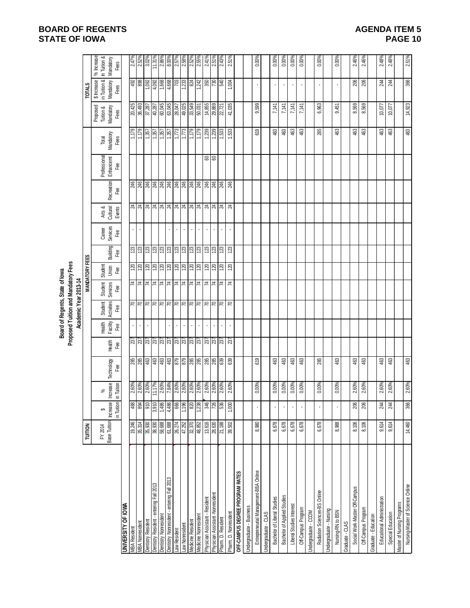# **BOARD OF REGENTS STATE OF IOWA**

| <b>AGENDA ITEM 5</b> |  |
|----------------------|--|
| PAGE 10              |  |

|                                              |                                    |            |                                   |                                 |                                            |                           | Board of Regents, State of lowa     |                                                                                                                 |                                |                                 |                           |                                   |                                                                                                                                                       |               |                                                                |                            |                                              |                                                                          |
|----------------------------------------------|------------------------------------|------------|-----------------------------------|---------------------------------|--------------------------------------------|---------------------------|-------------------------------------|-----------------------------------------------------------------------------------------------------------------|--------------------------------|---------------------------------|---------------------------|-----------------------------------|-------------------------------------------------------------------------------------------------------------------------------------------------------|---------------|----------------------------------------------------------------|----------------------------|----------------------------------------------|--------------------------------------------------------------------------|
|                                              |                                    |            |                                   |                                 |                                            |                           | Proposed Tuition and Mandatory Fees |                                                                                                                 |                                |                                 |                           |                                   |                                                                                                                                                       |               |                                                                |                            |                                              |                                                                          |
|                                              |                                    |            |                                   |                                 |                                            |                           | Academic Year 2013-14               |                                                                                                                 |                                |                                 |                           |                                   |                                                                                                                                                       |               |                                                                |                            |                                              |                                                                          |
|                                              | <b>TUITION</b>                     |            |                                   |                                 |                                            |                           |                                     |                                                                                                                 | <b>MANDATORY FEES</b>          |                                 |                           |                                   |                                                                                                                                                       |               |                                                                |                            | <b>TOTALS</b>                                |                                                                          |
|                                              |                                    |            |                                   |                                 |                                            |                           |                                     |                                                                                                                 |                                |                                 |                           |                                   |                                                                                                                                                       |               |                                                                | Proposed                   | \$ Increase                                  | % Increase                                                               |
|                                              | Base Tuition   Increase<br>FY 2014 | ↮          | వ్                                | Technology                      |                                            | <b>Facility</b><br>Health | Activities<br>Student               | <b>Services</b><br>Student                                                                                      | Student<br>Union               |                                 |                           | Arts &                            | Professional<br>Enhancemt<br>Recreation                                                                                                               |               | Mandatory<br>Total                                             | Mandatory<br>Tuition &     | in Tuition &<br>Mandatory                    | In Tuition &<br>Mandatory                                                |
|                                              |                                    | in Tuition | <b>Increase</b><br>in Tuition     | Fee                             | Health<br>Fee                              | Fee                       | Fee                                 | Fee                                                                                                             | Fee                            | Building<br>Ğ۹                  | Career<br>Services<br>Fee | €€<br>Cultural<br>Events          |                                                                                                                                                       | Fee           | Fees                                                           | Fees                       | Fees                                         | Fees                                                                     |
| UNIVERSITY OF IOWA                           |                                    |            |                                   |                                 |                                            |                           |                                     |                                                                                                                 |                                |                                 |                           |                                   |                                                                                                                                                       |               |                                                                |                            |                                              |                                                                          |
| <b>MBA Resident</b>                          | 19,246                             | 488        | 2.60%                             |                                 |                                            |                           |                                     |                                                                                                                 |                                |                                 |                           |                                   |                                                                                                                                                       |               |                                                                | 20,425                     |                                              |                                                                          |
| <b>MBA Nonresident</b>                       | 35,314                             | 894        | 2.60%                             | 8 8 9 9 9 9 9 8 8 8 8 8 8 8 8 8 | $\frac{237}{237}$                          |                           | 9999999999999999                    | $\frac{1}{4}$ $\frac{1}{4}$ $\frac{1}{4}$ $\frac{1}{4}$ $\frac{1}{4}$ $\frac{1}{4}$ $\frac{1}{4}$ $\frac{1}{4}$ | <u>a a a a a a a a a a a a</u> | នន្ទន្ទន្ទន្ទន្ទន្ទន្ទន្ទន្ទន្ទ |                           | <u>ង ង ង ង ង ង ង ង ង ង ង ង ង </u> | $\frac{18}{3}$ $\frac{18}{3}$ $\frac{18}{3}$ $\frac{18}{3}$ $\frac{18}{3}$ $\frac{18}{3}$ $\frac{18}{3}$ $\frac{18}{3}$ $\frac{18}{3}$ $\frac{18}{3}$ |               | $\frac{132}{1357}$<br>$\frac{136}{1357}$<br>$\frac{136}{1357}$ |                            | $\frac{492}{1,002}$<br>$\frac{1,002}{4,002}$ | $\frac{2.47\%}{2.52\%}$                                                  |
| <b>Dentistry Resident</b>                    | 35,930<br>38,930                   | 910        | 2.60%<br>11.17%<br>2.60%<br>2.60% |                                 | $ \bar{x} \bar{x} \bar{x} \bar{x} \bar{x}$ |                           |                                     |                                                                                                                 |                                |                                 |                           |                                   |                                                                                                                                                       |               |                                                                | 36,493<br>37,287<br>40,287 |                                              | $\frac{3.02\%}{11.31\%}\n \frac{1.31\%}{2.86\%}\n \frac{1.31\%}{8.00\%}$ |
| Dentistry Resident - entering Fall 2013      |                                    | 3,910      |                                   |                                 |                                            |                           |                                     |                                                                                                                 |                                |                                 |                           |                                   |                                                                                                                                                       |               |                                                                |                            |                                              |                                                                          |
| <b>Dentistry Nonresident</b>                 | 58,688                             | 1,486      |                                   |                                 |                                            |                           |                                     |                                                                                                                 |                                |                                 |                           |                                   |                                                                                                                                                       |               |                                                                | 60,045                     |                                              |                                                                          |
| bentistry Nonresident - entering Fall 2013   | 61,688                             | 4,486      |                                   |                                 |                                            |                           |                                     |                                                                                                                 |                                |                                 |                           |                                   |                                                                                                                                                       |               |                                                                |                            | 4,668                                        |                                                                          |
| aw Resident                                  | 26,274                             | 88         |                                   |                                 |                                            |                           |                                     |                                                                                                                 |                                |                                 |                           |                                   |                                                                                                                                                       |               | 1,773                                                          | 78,047                     | <b>FO2</b>                                   |                                                                          |
| aw Nonresident                               | 47,252                             | 1,196      | 2.60%<br>2.60%                    |                                 |                                            | $\epsilon$                |                                     |                                                                                                                 |                                |                                 |                           |                                   |                                                                                                                                                       |               | 1,773                                                          | 49,025                     | 1,233                                        | 2.58%                                                                    |
| Medicine Resident                            | 32,370                             | 820        |                                   |                                 |                                            |                           |                                     |                                                                                                                 |                                |                                 |                           |                                   |                                                                                                                                                       |               | 621')                                                          | 33,549                     | 824                                          | $2.52\%$<br>$2.55\%$                                                     |
| Aedicine Nonresident                         | 48,852                             | ,238       | 2.60%                             |                                 |                                            |                           |                                     |                                                                                                                 |                                |                                 |                           |                                   |                                                                                                                                                       |               | 621'L                                                          | <b>PO,031</b>              | $\frac{1}{2}$ ន្ត្រី ន្ត្រី                  |                                                                          |
| Physician Assistant - Resident               | 13,616                             | 346        | 2.60%<br>2.60%                    |                                 |                                            |                           |                                     |                                                                                                                 |                                |                                 |                           |                                   |                                                                                                                                                       | $\frac{8}{8}$ |                                                                | 14,855                     |                                              | 2.41%                                                                    |
| <sup>p</sup> hysician Assistant -Nonresident | 28,630                             | 726        |                                   |                                 | $\frac{27}{237}$                           |                           |                                     |                                                                                                                 |                                |                                 |                           |                                   |                                                                                                                                                       |               | 1,239                                                          | 29,869                     |                                              | $2.51\%$                                                                 |
| Pharm. D. Resident                           | 21,188                             | 536        | 2.60%                             |                                 |                                            |                           |                                     | $\overline{z}$                                                                                                  | $\overline{20}$                | 123                             |                           |                                   | 246                                                                                                                                                   |               | 1,533                                                          | 22,721                     |                                              | 2.43%                                                                    |
| Pharm. D. Nonresident                        | 39,502                             | 1,000      | 2.60%                             | 639                             | 237                                        |                           | R                                   | $\overline{z}$                                                                                                  | 120                            | 123                             |                           | $\mathbb{Z}$                      | 246                                                                                                                                                   |               | 1,533                                                          | 41,035                     | 1,004                                        | 2.51%                                                                    |
| OFF-CAMPUS DEGREE PROGRAM RATES              |                                    |            |                                   |                                 |                                            |                           |                                     |                                                                                                                 |                                |                                 |                           |                                   |                                                                                                                                                       |               |                                                                |                            |                                              |                                                                          |
| Indergraduate - Business                     |                                    |            |                                   |                                 |                                            |                           |                                     |                                                                                                                 |                                |                                 |                           |                                   |                                                                                                                                                       |               |                                                                |                            |                                              |                                                                          |
| Entrepreneurial Management-BBA Online        | 8,980                              |            | 0.00%                             | 619                             |                                            |                           |                                     |                                                                                                                 |                                |                                 |                           |                                   |                                                                                                                                                       |               | 619                                                            | 9,599                      |                                              | 0.00%                                                                    |
| ndergraduate - CLAS                          |                                    |            |                                   |                                 |                                            |                           |                                     |                                                                                                                 |                                |                                 |                           |                                   |                                                                                                                                                       |               |                                                                |                            |                                              |                                                                          |
| Bachelor of Liberal Studies                  | 6,678                              |            | 0.00%                             | 463                             |                                            |                           |                                     |                                                                                                                 |                                |                                 |                           |                                   |                                                                                                                                                       |               | 463                                                            | 7,141                      |                                              | 0.00%                                                                    |
| Bachelor of Applied Studies                  | 6,678                              | ı          | 0.00%                             | 463                             |                                            |                           |                                     |                                                                                                                 |                                |                                 |                           |                                   |                                                                                                                                                       |               | 463                                                            | 7,141                      | ×,                                           | $0.00\%$                                                                 |
| Liberal Studies Interest                     | 6,678                              |            | 0.00%                             | 463                             |                                            |                           |                                     |                                                                                                                 |                                |                                 |                           |                                   |                                                                                                                                                       |               | 463                                                            | 7,141                      | $\blacksquare$                               | 0.00%                                                                    |
| Off-Campus Program                           | 6,678                              |            | 0.00%                             | 463                             |                                            |                           |                                     |                                                                                                                 |                                |                                 |                           |                                   |                                                                                                                                                       |               | 463                                                            | 7,141                      |                                              | 0.00%                                                                    |
| Indergraduate - CCOM                         |                                    |            |                                   |                                 |                                            |                           |                                     |                                                                                                                 |                                |                                 |                           |                                   |                                                                                                                                                       |               |                                                                |                            |                                              |                                                                          |
| Radiation Sciences-BS Online                 | 6,678                              | ٠          | 0.00%                             | 285                             |                                            |                           |                                     |                                                                                                                 |                                |                                 |                           |                                   |                                                                                                                                                       |               | 285                                                            | 6,963                      |                                              | $0.00\%$                                                                 |
| Indergraduate - Nursing                      |                                    |            |                                   |                                 |                                            |                           |                                     |                                                                                                                 |                                |                                 |                           |                                   |                                                                                                                                                       |               |                                                                |                            |                                              |                                                                          |
| Nursing-RN to BSN                            | 8,988                              |            | 0.00%                             | 463                             |                                            |                           |                                     |                                                                                                                 |                                |                                 |                           |                                   |                                                                                                                                                       |               | 463                                                            | 9,451                      |                                              | 0.00%                                                                    |
| GALO - GLAS                                  |                                    |            |                                   |                                 |                                            |                           |                                     |                                                                                                                 |                                |                                 |                           |                                   |                                                                                                                                                       |               |                                                                |                            |                                              |                                                                          |
| Social Work-Master Off-Campus                | 8,106                              | 206        | 2.60%                             | \$3                             |                                            |                           |                                     |                                                                                                                 |                                |                                 |                           |                                   |                                                                                                                                                       |               | \$3                                                            | 8,569                      | 206                                          | 2.46%                                                                    |
| Off-Campus Program                           | 8,106                              | 206        | 2.60%                             | 463                             |                                            |                           |                                     |                                                                                                                 |                                |                                 |                           |                                   |                                                                                                                                                       |               | 463                                                            | 8,569                      | 206                                          | 2.46%                                                                    |
| Graduate - Education                         |                                    |            |                                   |                                 |                                            |                           |                                     |                                                                                                                 |                                |                                 |                           |                                   |                                                                                                                                                       |               |                                                                |                            |                                              |                                                                          |
| Educational Administration                   | 9,614                              | 244        | 2.60%                             | 463                             |                                            |                           |                                     |                                                                                                                 |                                |                                 |                           |                                   |                                                                                                                                                       |               | 463                                                            | 10,077                     | 244                                          | 2.48%                                                                    |
| Special Education                            | 9,614                              | 244        | 2.60%                             | 463                             |                                            |                           |                                     |                                                                                                                 |                                |                                 |                           |                                   |                                                                                                                                                       |               | පි                                                             | 10,077                     | 244                                          | 2.48%                                                                    |
| <b>Master of Nursing Programs</b>            |                                    |            |                                   |                                 |                                            |                           |                                     |                                                                                                                 |                                |                                 |                           |                                   |                                                                                                                                                       |               |                                                                |                            |                                              |                                                                          |
| Nursing-Master of Science Online             | 14,460                             | 366        | 2.60%                             | 463                             |                                            |                           |                                     |                                                                                                                 |                                |                                 |                           |                                   |                                                                                                                                                       |               | 463                                                            | 14,923                     | 366                                          | 2.51%                                                                    |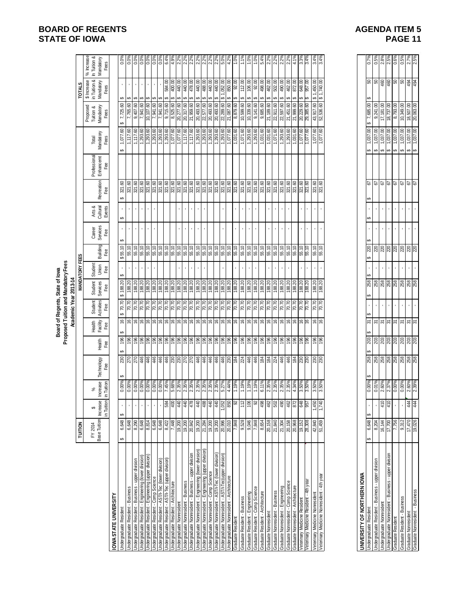|                                                                                                                |                                   |                                            |                                  |                                                |                                                                                                                                             |                               |                              | Proposed Tuition and Mandatory Fees<br>Board of Regents, State of lowa<br>Academic Year 2013-14 |                             |                 |                           |                              |                                                                         |                                  |                                                                                         |                                            |                                                  |                                                                                                                                                                                                                                                                                                           |
|----------------------------------------------------------------------------------------------------------------|-----------------------------------|--------------------------------------------|----------------------------------|------------------------------------------------|---------------------------------------------------------------------------------------------------------------------------------------------|-------------------------------|------------------------------|-------------------------------------------------------------------------------------------------|-----------------------------|-----------------|---------------------------|------------------------------|-------------------------------------------------------------------------|----------------------------------|-----------------------------------------------------------------------------------------|--------------------------------------------|--------------------------------------------------|-----------------------------------------------------------------------------------------------------------------------------------------------------------------------------------------------------------------------------------------------------------------------------------------------------------|
|                                                                                                                | <b>TUITION</b>                    |                                            |                                  |                                                |                                                                                                                                             |                               |                              |                                                                                                 | <b>MANDATORY FEES</b>       |                 |                           |                              |                                                                         |                                  |                                                                                         |                                            | <b>TOTALS</b>                                    |                                                                                                                                                                                                                                                                                                           |
|                                                                                                                | Base Tuition<br>FY 2014           | Increase<br>in Tuition<br>↮                | Increase<br>in Tuition<br>శ      | Technology<br>Fee                              | Health<br>Fee                                                                                                                               | Health<br>Facility<br>Fee     | Student<br>Activities<br>Fee | Student<br>Services<br>Fee                                                                      | Student<br>Union<br>Fee     | Building<br>Fee | Career<br>Services<br>Fee | Arts &<br>Cultural<br>Events | Recreation<br>Fee                                                       | Professional<br>Enhancemt<br>Fee | Mandatory<br>Total<br>Fees                                                              | Proposed<br>Tuition &<br>Mandatory<br>Fees | \$ Increase<br>in Tuition &<br>Mandatory<br>Fees | % Increase<br>In Tuition &<br>Mandatory<br>Fees                                                                                                                                                                                                                                                           |
| OWA STATE UNIVERSITY                                                                                           |                                   |                                            |                                  |                                                |                                                                                                                                             |                               |                              |                                                                                                 |                             |                 |                           |                              |                                                                         |                                  |                                                                                         |                                            |                                                  |                                                                                                                                                                                                                                                                                                           |
| <b>Jndergraduate Resident</b>                                                                                  | 6,648<br>မာ                       |                                            | $0.00\%$<br>$0.00\%$             |                                                |                                                                                                                                             | $\widetilde{\mathbb{G}}$      |                              |                                                                                                 | $\cdot$                     | 55.10<br>↮      |                           | ↮                            | ↮                                                                       |                                  |                                                                                         | 7,725.60                                   | ↮                                                |                                                                                                                                                                                                                                                                                                           |
| Jndergraduate Resident - Business                                                                              | 6,648                             |                                            |                                  |                                                |                                                                                                                                             |                               |                              | $$188.20$<br>$188.20$                                                                           |                             | 55.10           |                           |                              | 321.60<br>321.60                                                        |                                  | 1,077.60<br>1,117.60                                                                    | 7,765.60                                   | ↮                                                |                                                                                                                                                                                                                                                                                                           |
| Indergraduate Resident - Business - upper division                                                             | $\frac{8,290}{6,648}$             |                                            | 0.00%                            |                                                | $\frac{1}{2}$ $\frac{1}{2}$ $\frac{1}{2}$ $\frac{1}{2}$ $\frac{1}{2}$ $\frac{1}{2}$ $\frac{1}{2}$ $\frac{1}{2}$ $\frac{1}{2}$ $\frac{1}{2}$ | $ e $ $e$ $ e $ $e$ $ e $ $e$ | <u>s s s s s s s s s s</u>   | 188.20<br>188.20<br>188.20<br>188.20                                                            | $\cdot$                     | 55.10           | $\cdot$                   | $\mathbf{r}$                 | $\frac{321.60}{321.60}$                                                 |                                  | $\begin{array}{r} 1,117.60 \\ 1,293.60 \\ 1,293.60 \\ 1,293.60 \\ 1,293.60 \end{array}$ | 9,407.60                                   | $\mathbf{r}$                                     | $\frac{8}{100}$ $\frac{8}{100}$ $\frac{8}{100}$ $\frac{8}{100}$ $\frac{8}{100}$ $\frac{8}{100}$ $\frac{8}{100}$ $\frac{8}{100}$ $\frac{8}{100}$ $\frac{8}{100}$ $\frac{8}{100}$ $\frac{8}{100}$ $\frac{8}{100}$ $\frac{8}{100}$ $\frac{8}{100}$ $\frac{8}{100}$ $\frac{8}{100}$ $\frac{8}{100}$ $\frac{8$ |
| Jndergraduate Resident - Engineering (lower division)<br>Jndergraduate Resident - Engineering (upper division) |                                   |                                            |                                  |                                                |                                                                                                                                             |                               |                              |                                                                                                 | $\mathbf{r}$                | 55.10           | $\sim$                    | $\mathbf{r}$                 |                                                                         |                                  |                                                                                         | 7,941.60<br>10,107.60                      | $\mathbf{r}$                                     |                                                                                                                                                                                                                                                                                                           |
|                                                                                                                |                                   |                                            |                                  |                                                |                                                                                                                                             |                               |                              |                                                                                                 | ¥,                          | 55.10           | ¥,                        | ¥,                           |                                                                         |                                  |                                                                                         |                                            | ¥,                                               |                                                                                                                                                                                                                                                                                                           |
| Jndergraduate Resident - Comp Science<br>Jndergraduate Resident - AST/I-Tec (lower division)                   | 6,648                             |                                            | 0.00%<br>0.00%<br>7.45%          |                                                |                                                                                                                                             |                               |                              |                                                                                                 |                             | 55.10           |                           |                              | 37.60<br>37.50<br>37.50                                                 |                                  |                                                                                         | $\frac{7,941.60}{7,941.60}$                |                                                  |                                                                                                                                                                                                                                                                                                           |
| Indergraduate Resident - AST/I-Tec (upper division)                                                            | 8,422                             | 584                                        |                                  |                                                |                                                                                                                                             |                               |                              | 188.20                                                                                          |                             | 55.10           |                           |                              |                                                                         |                                  | 1,293.60                                                                                | 9,715.60                                   | 584.00                                           |                                                                                                                                                                                                                                                                                                           |
| <b>Jndergraduate Resident - Architecture</b><br>Indergraduate Nonresident                                      | 7,448                             | $rac{40}{40}$                              | 68%<br>0.35%<br>0.35%            |                                                | $\frac{86}{100}$                                                                                                                            | $\frac{9}{16}$                | $\frac{6}{10}$               | 188.20                                                                                          |                             | 55.10<br>55.10  |                           |                              | 321.60<br>321.60                                                        |                                  | 1,077.60                                                                                | 8,525.60<br>20,277.60                      | 400.00<br>440.00                                 | $4.9%$<br>$2.2%$<br>$2.2%$<br>$2.2%$                                                                                                                                                                                                                                                                      |
|                                                                                                                |                                   |                                            |                                  |                                                |                                                                                                                                             |                               |                              |                                                                                                 | $\mathcal{A}^{\mathcal{A}}$ |                 | $\sim$<br>$\mathbf{r}$    |                              |                                                                         |                                  |                                                                                         |                                            | 440.00<br>မာ                                     |                                                                                                                                                                                                                                                                                                           |
| Jndergraduate Nonresident - Business<br>Jndergraduate Nonresident - Business - upper division                  | 19,200<br>20,842                  | 478                                        |                                  |                                                | $\frac{96}{196}$                                                                                                                            | $\frac{3}{2}$                 | $\frac{20.70}{70.70}$        | 188.20                                                                                          | $\bar{\mathbf{r}}$          | 55.10           | $\bar{\phantom{a}}$       | ×,                           | 321.60<br>321.60                                                        |                                  | 1,117.60<br>1,117.60                                                                    | 20,317.60                                  | 478.00                                           |                                                                                                                                                                                                                                                                                                           |
| Indergraduate Nonresident - Engineering (lower division)                                                       | 19,200                            | 440                                        | 2.35%                            |                                                |                                                                                                                                             | $\mathfrak{g}_\dagger$        | 02'02                        | 188.20                                                                                          | $\epsilon$                  | 55.10           | $\mathbf{r}$              | $\blacksquare$               | 321.60                                                                  |                                  | 1,293.60                                                                                | 20,493.60                                  | 440.00<br>↮                                      |                                                                                                                                                                                                                                                                                                           |
| Indergraduate Nonresident - Engineering (upper division)                                                       | 21,284                            |                                            |                                  |                                                |                                                                                                                                             |                               |                              | 188.20                                                                                          |                             | 55.10           |                           |                              | $\frac{321.60}{321.60}$                                                 |                                  | 1,293.60                                                                                | 22,577.60                                  | 488.00<br>↮                                      |                                                                                                                                                                                                                                                                                                           |
| <b>Jndergraduate Nonresident - Comp Science</b>                                                                |                                   |                                            |                                  |                                                |                                                                                                                                             |                               |                              |                                                                                                 |                             | 55.10           |                           |                              |                                                                         |                                  |                                                                                         | 20,493.60                                  | S                                                |                                                                                                                                                                                                                                                                                                           |
| Jndergraduate Nonresident - AST/I-Tec (lower division)                                                         | $\frac{19,200}{20,996}$           | $\frac{48}{9}$ $\frac{4}{9}$ $\frac{1}{9}$ | 2.35%<br>2.35%<br>2.35%<br>5.27% |                                                | $\frac{18}{2}$ $\frac{18}{2}$ $\frac{18}{2}$ $\frac{18}{2}$                                                                                 | e e e e                       |                              | 188.20                                                                                          |                             | 55.10           |                           |                              |                                                                         |                                  | 1,293.60<br>1,293.60                                                                    | 20,493.60                                  | 440.00<br>↮                                      |                                                                                                                                                                                                                                                                                                           |
| Jndergraduate Nonresident - AST/I-Tec (upper division)                                                         |                                   |                                            |                                  |                                                |                                                                                                                                             |                               |                              |                                                                                                 |                             |                 |                           |                              |                                                                         |                                  |                                                                                         | 22,289.60                                  | 850.00<br>\$1,052.00                             |                                                                                                                                                                                                                                                                                                           |
| Jndergraduate Nonresident - Architecture<br>Graduate Resident                                                  | $\frac{20,010}{7,848}$<br>9,528   | 850<br>92                                  | 4.44%<br>1.19%                   |                                                | 9899                                                                                                                                        | 999                           | <u>kisisisisisis</u>         | 188.20<br>188.20<br>188.20                                                                      |                             | 55.10           |                           |                              | $\frac{321.60}{321.60}$ $\frac{321.60}{321.60}$ $\frac{321.60}{321.60}$ |                                  | 1,077.60                                                                                | 21,087.60<br>8,879.60                      | 92.00<br>↮<br>↮                                  |                                                                                                                                                                                                                                                                                                           |
| Graduate Resident - Business                                                                                   |                                   | 112                                        | 1.19%                            |                                                |                                                                                                                                             |                               |                              |                                                                                                 | $\mathbf{r}$                | 55.10           |                           |                              |                                                                         |                                  | $\frac{1,031.60}{1,071.60}$                                                             | 10,599.60                                  | 112.00<br>↔                                      |                                                                                                                                                                                                                                                                                                           |
| Graduate Resident - Engineering                                                                                | 9,046                             | 90                                         | 1.19%                            |                                                | 196                                                                                                                                         | $\frac{1}{2}$                 | 70.70                        | 188.20                                                                                          |                             | 55.10           |                           |                              | 321.60                                                                  |                                  | 1,293.60                                                                                | 10,339.60                                  | 106.00<br>↮                                      | 1.0%                                                                                                                                                                                                                                                                                                      |
| Sraduate Resident - Comp Science                                                                               | 7,848                             |                                            | 1.19%                            |                                                |                                                                                                                                             |                               | 0.07                         | 188.20                                                                                          |                             | 55.10           |                           |                              | 321.60                                                                  |                                  | 1,293.60                                                                                | 9,141.60                                   | 92.00<br>↮                                       | 1.0%                                                                                                                                                                                                                                                                                                      |
| Graduate Resident - Architecture                                                                               | 8,654                             | $\frac{88}{9}$                             | 6.11%                            |                                                | $\frac{98}{28}$                                                                                                                             | 99                            | $\frac{620}{100}$            | 188.20                                                                                          |                             | 55.10           |                           |                              | 321.60<br>321.60                                                        |                                  | $\frac{1,031.60}{1,031.60}$                                                             | 9,685.60                                   | 498.00<br>မာ                                     |                                                                                                                                                                                                                                                                                                           |
| Graduate Nonresident                                                                                           | 20,158                            |                                            | 2.35%                            |                                                |                                                                                                                                             | 999                           |                              |                                                                                                 |                             | 55.10           |                           |                              |                                                                         |                                  |                                                                                         | 21,189.60                                  | 462.00<br>မာ                                     |                                                                                                                                                                                                                                                                                                           |
| Graduate Nonresident - Business                                                                                | 21,840                            |                                            | 2.35%                            |                                                |                                                                                                                                             |                               | 70.70                        | 188.20                                                                                          | $\mathbf{r}$                | 55.10           | $\mathbf{r}$              |                              | 321.60                                                                  |                                  | 1,071.60                                                                                | 22,911.60                                  | 502.00<br>↮                                      |                                                                                                                                                                                                                                                                                                           |
| Sraduate Nonresident - Engineering                                                                             |                                   |                                            |                                  |                                                |                                                                                                                                             |                               |                              |                                                                                                 |                             | 55.10           |                           |                              |                                                                         |                                  | $\frac{1,293.60}{1,293.60}$                                                             | 22,597.60                                  | 490.00<br>↮                                      |                                                                                                                                                                                                                                                                                                           |
| Graduate Nonresident - Comp Science<br>Graduate Nonresident - Architecture                                     | $\frac{21,304}{20,158}$           | 8 \$ \$ \$                                 |                                  |                                                |                                                                                                                                             |                               | $\frac{20}{10}$              | 188.20<br>188.20                                                                                |                             |                 |                           |                              | $\frac{37.60}{37.50}$                                                   |                                  | 1,031.60                                                                                | 21,451.60<br>21,999.60                     | 462.00<br>မာ                                     | $\frac{88}{22\%}\times\frac{8}{22\%}\times\frac{8}{21\%}\times\frac{8}{1}$                                                                                                                                                                                                                                |
|                                                                                                                |                                   |                                            |                                  |                                                |                                                                                                                                             |                               |                              |                                                                                                 |                             | 55.10           |                           |                              |                                                                         |                                  |                                                                                         |                                            | 872.00                                           |                                                                                                                                                                                                                                                                                                           |
| /eterinary Medicine Resident - 4th year<br>Veterinary Medicine Resident                                        | 28,308<br>19, 152                 | 648<br>957                                 | 2.35%<br>2.35%<br>4.34%<br>3.50% |                                                | 999999                                                                                                                                      | 99999                         | 70.70<br>70.70               | 188.20<br>188.20                                                                                |                             | 55.10<br>55.10  | $\mathbf{r}$              |                              | 321.60<br>321.60                                                        |                                  | 1,077.60<br>09:220                                                                      | 20,229.60<br>29,385.60                     | 648.00<br>00.796                                 | 3.4%<br>3.3%                                                                                                                                                                                                                                                                                              |
| Veterinary Medicine Nonresident                                                                                | 42,840                            | 1,450                                      | 3.50%                            |                                                | $\frac{96}{2}$                                                                                                                              | $\frac{9}{2}$                 | 70.70                        | 188.20                                                                                          | $\blacksquare$              | 55.10           | $\bar{1}$                 | $\blacksquare$               | $321,60$<br>$321,60$                                                    |                                  | 1,077.60                                                                                | 43,917.60                                  | \$1,450.00                                       | 3.4%                                                                                                                                                                                                                                                                                                      |
| Veterinary Medicine Nonresident - 4th year                                                                     | 51,459                            | 1,740                                      | 3.50%                            |                                                | 196                                                                                                                                         | $\frac{1}{2}$                 | 70.70                        | 188.20                                                                                          |                             |                 |                           |                              |                                                                         |                                  | 1,077.60                                                                                | 52,536.60                                  | \$1,740.00                                       | 3.4%                                                                                                                                                                                                                                                                                                      |
|                                                                                                                |                                   |                                            |                                  |                                                |                                                                                                                                             |                               |                              |                                                                                                 |                             |                 |                           |                              |                                                                         |                                  |                                                                                         |                                            |                                                  |                                                                                                                                                                                                                                                                                                           |
| UNIVERSITY OF NORTHERN IOWA                                                                                    |                                   |                                            |                                  |                                                |                                                                                                                                             |                               |                              |                                                                                                 |                             |                 |                           |                              |                                                                         |                                  |                                                                                         |                                            |                                                  |                                                                                                                                                                                                                                                                                                           |
| <b>Jndergraduate Resident</b>                                                                                  | 6,648<br>မာ                       | မာ                                         | 0.00%                            | 258                                            | 203                                                                                                                                         | 5                             |                              | ↮                                                                                               |                             | 220             |                           | မာ                           | 5<br>ക                                                                  |                                  | 1,037.00                                                                                | 7,685.00                                   |                                                  |                                                                                                                                                                                                                                                                                                           |
| Jndergraduate Resident - Business - upper division                                                             | 8,204                             |                                            | 0.01%                            | ន្ត្រី ន្ត្រី ន្ត្រី ន្ត្រី ន្ត្រី ន្ត្រី ន្ត្ | ន្ត្ <mark>រី</mark> ន្ត្រី  ន្ត្រី  ន្ត្រី  ន្ត្រី  ន្ត្រី                                                                                 | $\frac{5}{2}$ $\frac{5}{2}$   | $\epsilon$                   | <u>ឌូ ឌូ ឌូ ឌូ ឌូ ឌូ ឌូ ឌូ ឌូ ឌូ</u>                                                            |                             | ននននន           |                           |                              | $\frac{2}{9}$                                                           |                                  | 1,037.00<br>↮                                                                           | 9,241.00                                   | <mark>ႜ</mark> ႜႜႜၜ႞ၛႜၛႜၛႜၛႜ                     | $\frac{0.7\%}{0.5\%}$<br>$\frac{2.8\%}{2.5\%}$                                                                                                                                                                                                                                                            |
| Undergraduate Nonresident - Business - upper division<br>Undergraduate Nonresident                             | 16,144<br>$\frac{17,700}{17,700}$ | $\frac{410}{410}$                          | 2.60%<br>2.37%                   |                                                |                                                                                                                                             |                               |                              |                                                                                                 |                             |                 |                           |                              |                                                                         |                                  | $\frac{1,037.00}{1,037.00}$<br>မာမြာ                                                    | 17,181.00<br>18,737.00                     |                                                  |                                                                                                                                                                                                                                                                                                           |
| Graduate Resident                                                                                              | 7,756                             |                                            | 0.00%                            |                                                |                                                                                                                                             | $\overline{\epsilon}$         |                              |                                                                                                 |                             |                 |                           |                              |                                                                         |                                  | 1,037.00<br>s                                                                           | 8,793.00                                   |                                                  | $0.6\%$                                                                                                                                                                                                                                                                                                   |
|                                                                                                                | 9,312                             |                                            |                                  |                                                |                                                                                                                                             |                               |                              |                                                                                                 |                             |                 | $\bar{1}$                 |                              |                                                                         |                                  | $\Theta$                                                                                |                                            |                                                  |                                                                                                                                                                                                                                                                                                           |
| Graduate Resident - Business<br>Graduate Nonresident<br>Graduate Nonresident - Business                        | 17,470                            | 444<br>444                                 | 0.00%<br>2.60%<br>2.39%          |                                                |                                                                                                                                             | $\frac{5}{2}$ $\frac{5}{2}$   | $\blacksquare$               |                                                                                                 |                             |                 |                           |                              | <b>2</b><br>29<br>29                                                    |                                  | $\frac{1,037.00}{1,037.00}$<br>မာ မာ                                                    | $\frac{10,349.00}{18,507.00}$              |                                                  | 0.5%<br>2.7%<br>2.5%                                                                                                                                                                                                                                                                                      |
|                                                                                                                | 19,026                            |                                            |                                  |                                                |                                                                                                                                             |                               |                              |                                                                                                 |                             |                 |                           |                              |                                                                         |                                  |                                                                                         |                                            |                                                  |                                                                                                                                                                                                                                                                                                           |

| ERSITT OF NURTIFIERIN IUWA                       |        |     |                                  |     |                |    |  |                 |                      |                |          |                      |                               |     |                                                                                                                                                                                                                                                                                                                     |  |
|--------------------------------------------------|--------|-----|----------------------------------|-----|----------------|----|--|-----------------|----------------------|----------------|----------|----------------------|-------------------------------|-----|---------------------------------------------------------------------------------------------------------------------------------------------------------------------------------------------------------------------------------------------------------------------------------------------------------------------|--|
| rgraduate Resident                               | 6,648  |     | 0.00%                            | 258 | 203   \$       |    |  | 258             | $\overline{a}$<br>20 | $\overline{a}$ | 52       | ,037.00              | G)<br>7,685.00                | 8   |                                                                                                                                                                                                                                                                                                                     |  |
| rgraduate Resident - Business - upper division   | 3.204  |     | 0.01%<br>2.60%<br>2.37%<br>0.00% | 258 | 203            |    |  | 258             | 220                  |                | 2        | ,037.00              | 9,241.00                      | ន   |                                                                                                                                                                                                                                                                                                                     |  |
| rgraduate Nonresident                            | 16,144 | 410 |                                  | 258 |                | 31 |  |                 | $\frac{20}{20}$      |                | 2        | ,037.00              |                               | 460 |                                                                                                                                                                                                                                                                                                                     |  |
| graduate Nonresident - Business - upper division | 00Z'/  | 410 |                                  | 38  | $\frac{8}{20}$ | 51 |  |                 |                      |                | <b>P</b> | ,037.00              |                               | 460 |                                                                                                                                                                                                                                                                                                                     |  |
| uate Resident                                    | 756    |     |                                  | 258 | 203            | 51 |  | $\frac{88}{28}$ | 220                  |                | 59       | ,037.00              | $\frac{17,181.00}{18,737.00}$ | ន   | $\frac{1}{2}$ $\frac{1}{2}$ $\frac{1}{2}$ $\frac{1}{2}$ $\frac{1}{2}$ $\frac{1}{2}$ $\frac{1}{2}$ $\frac{1}{2}$ $\frac{1}{2}$ $\frac{1}{2}$ $\frac{1}{2}$ $\frac{1}{2}$ $\frac{1}{2}$ $\frac{1}{2}$ $\frac{1}{2}$ $\frac{1}{2}$ $\frac{1}{2}$ $\frac{1}{2}$ $\frac{1}{2}$ $\frac{1}{2}$ $\frac{1}{2}$ $\frac{1}{2}$ |  |
| Juate Resident - Business                        | 9,312  |     | 00%<br>2.60%<br>2.39%            | 258 | 203            |    |  | 258             | 20                   |                | 5        | ,037.00              | 10,349.00                     | 8   |                                                                                                                                                                                                                                                                                                                     |  |
| uate Nonresident                                 | 7,470  | 44  |                                  | 258 | 203            |    |  | 258             | 220                  |                | 5        | , 037.00<br>1,037.00 | 18,507.00<br>20,063.00        | 494 |                                                                                                                                                                                                                                                                                                                     |  |
| uate Nonresident - Business                      | 19,026 | 44  |                                  | 258 | 203            |    |  | 258             | 220                  |                | 5        |                      |                               | 494 |                                                                                                                                                                                                                                                                                                                     |  |
|                                                  |        |     |                                  |     |                |    |  |                 |                      |                |          |                      |                               |     |                                                                                                                                                                                                                                                                                                                     |  |

# **BOARD OF REGENTS**<br> **BOARD OF REGENTS**<br> **BOARD OF IOWA**<br> **BOARD OF IOWA STATE OF IOWA**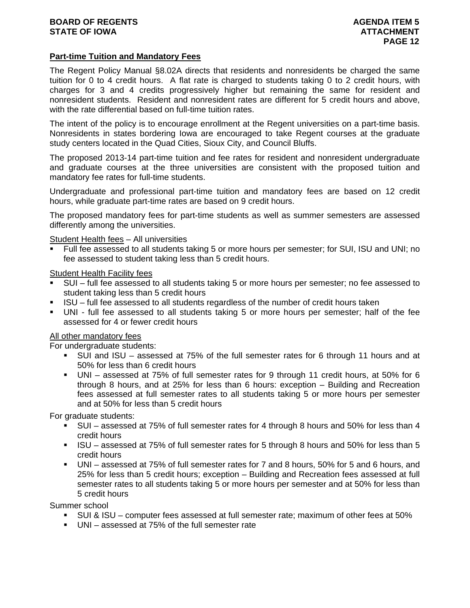# **Part-time Tuition and Mandatory Fees**

The Regent Policy Manual §8.02A directs that residents and nonresidents be charged the same tuition for 0 to 4 credit hours. A flat rate is charged to students taking 0 to 2 credit hours, with charges for 3 and 4 credits progressively higher but remaining the same for resident and nonresident students. Resident and nonresident rates are different for 5 credit hours and above, with the rate differential based on full-time tuition rates.

The intent of the policy is to encourage enrollment at the Regent universities on a part-time basis. Nonresidents in states bordering Iowa are encouraged to take Regent courses at the graduate study centers located in the Quad Cities, Sioux City, and Council Bluffs.

The proposed 2013-14 part-time tuition and fee rates for resident and nonresident undergraduate and graduate courses at the three universities are consistent with the proposed tuition and mandatory fee rates for full-time students.

Undergraduate and professional part-time tuition and mandatory fees are based on 12 credit hours, while graduate part-time rates are based on 9 credit hours.

The proposed mandatory fees for part-time students as well as summer semesters are assessed differently among the universities.

Student Health fees – All universities

 Full fee assessed to all students taking 5 or more hours per semester; for SUI, ISU and UNI; no fee assessed to student taking less than 5 credit hours.

Student Health Facility fees

- SUI full fee assessed to all students taking 5 or more hours per semester; no fee assessed to student taking less than 5 credit hours
- ISU full fee assessed to all students regardless of the number of credit hours taken
- UNI full fee assessed to all students taking 5 or more hours per semester; half of the fee assessed for 4 or fewer credit hours

### All other mandatory fees

For undergraduate students:

- SUI and ISU assessed at 75% of the full semester rates for 6 through 11 hours and at 50% for less than 6 credit hours
- UNI assessed at 75% of full semester rates for 9 through 11 credit hours, at 50% for 6 through 8 hours, and at 25% for less than 6 hours: exception – Building and Recreation fees assessed at full semester rates to all students taking 5 or more hours per semester and at 50% for less than 5 credit hours

For graduate students:

- SUI assessed at 75% of full semester rates for 4 through 8 hours and 50% for less than 4 credit hours
- ISU assessed at 75% of full semester rates for 5 through 8 hours and 50% for less than 5 credit hours
- UNI assessed at 75% of full semester rates for 7 and 8 hours, 50% for 5 and 6 hours, and 25% for less than 5 credit hours; exception – Building and Recreation fees assessed at full semester rates to all students taking 5 or more hours per semester and at 50% for less than 5 credit hours

Summer school

- SUI & ISU computer fees assessed at full semester rate; maximum of other fees at 50%
- UNI assessed at 75% of the full semester rate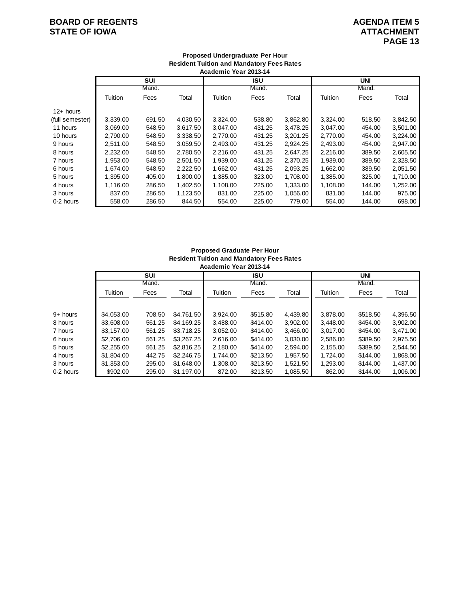# **BOARD OF REGENTS**<br> **BOARD OF REGENTS**<br> **BOARD OF IOWA**<br> **ATTACHMENT STATE OF IOWA**

|                 |          |        |          | Academic Year 2013-14 |            |          |          |            |          |
|-----------------|----------|--------|----------|-----------------------|------------|----------|----------|------------|----------|
|                 |          | SUI    |          |                       | <b>ISU</b> |          |          | <b>UNI</b> |          |
|                 |          | Mand.  |          |                       | Mand.      |          |          | Mand.      |          |
|                 | Tuition  | Fees   | Total    | Tuition               | Fees       | Total    | Tuition  | Fees       | Total    |
| $12+$ hours     |          |        |          |                       |            |          |          |            |          |
| (full semester) | 3,339.00 | 691.50 | 4,030.50 | 3,324.00              | 538.80     | 3,862.80 | 3,324.00 | 518.50     | 3,842.50 |
| 11 hours        | 3,069.00 | 548.50 | 3,617.50 | 3,047.00              | 431.25     | 3,478.25 | 3,047.00 | 454.00     | 3,501.00 |
| 10 hours        | 2,790.00 | 548.50 | 3,338.50 | 2.770.00              | 431.25     | 3,201.25 | 2,770.00 | 454.00     | 3,224.00 |
| 9 hours         | 2,511.00 | 548.50 | 3,059.50 | 2,493.00              | 431.25     | 2,924.25 | 2,493.00 | 454.00     | 2,947.00 |
| 8 hours         | 2,232.00 | 548.50 | 2,780.50 | 2,216.00              | 431.25     | 2,647.25 | 2,216.00 | 389.50     | 2,605.50 |
| 7 hours         | 1,953.00 | 548.50 | 2,501.50 | 1,939.00              | 431.25     | 2,370.25 | 1,939.00 | 389.50     | 2,328.50 |
| 6 hours         | 1,674.00 | 548.50 | 2,222.50 | 1,662.00              | 431.25     | 2,093.25 | 1,662.00 | 389.50     | 2,051.50 |
| 5 hours         | 1,395.00 | 405.00 | 1,800.00 | 1,385.00              | 323.00     | 1,708.00 | 1,385.00 | 325.00     | 1,710.00 |
| 4 hours         | 1,116.00 | 286.50 | 1,402.50 | 1,108.00              | 225.00     | 1,333.00 | 1,108.00 | 144.00     | 1,252.00 |
| 3 hours         | 837.00   | 286.50 | 1,123.50 | 831.00                | 225.00     | 1,056.00 | 831.00   | 144.00     | 975.00   |
| 0-2 hours       | 558.00   | 286.50 | 844.50   | 554.00                | 225.00     | 779.00   | 554.00   | 144.00     | 698.00   |

# **Proposed Undergraduate Per Hour Resident Tuition and Mandatory Fees Rates**

### **Proposed Graduate Per Hour Resident Tuition and Mandatory Fees Rates Academic Year 2013-14**

| AVUUVIIIIV TUUT LUTU TT |                     |            |                     |          |          |                     |          |          |
|-------------------------|---------------------|------------|---------------------|----------|----------|---------------------|----------|----------|
|                         | <b>SUI</b><br>Mand. |            | <b>ISU</b><br>Mand. |          |          | <b>UNI</b><br>Mand. |          |          |
|                         |                     |            |                     |          |          |                     |          |          |
| Tuition                 | Fees                | Total      | Tuition             | Fees     | Total    | Tuition             | Fees     | Total    |
|                         |                     |            |                     |          |          |                     |          |          |
| \$4.053.00              | 708.50              | \$4,761.50 | 3,924.00            | \$515.80 | 4,439.80 | 3,878.00            | \$518.50 | 4,396.50 |
| \$3,608,00              | 561.25              | \$4,169.25 | 3.488.00            | \$414.00 | 3.902.00 | 3.448.00            | \$454.00 | 3,902.00 |
| \$3.157.00              | 561.25              | \$3,718.25 | 3,052.00            | \$414.00 | 3,466.00 | 3.017.00            | \$454.00 | 3.471.00 |
| \$2,706.00              | 561.25              | \$3,267.25 | 2,616.00            | \$414.00 | 3.030.00 | 2.586.00            | \$389.50 | 2,975.50 |
| \$2,255,00              | 561.25              | \$2,816.25 | 2.180.00            | \$414.00 | 2.594.00 | 2.155.00            | \$389.50 | 2.544.50 |
| \$1,804.00              | 442.75              | \$2,246.75 | 1.744.00            | \$213.50 | 1,957.50 | 1,724.00            | \$144.00 | 1,868.00 |
| \$1,353.00              | 295.00              | \$1,648,00 | 1,308.00            | \$213.50 | 1.521.50 | 1,293.00            | \$144.00 | 1,437.00 |
| \$902.00                | 295.00              | \$1.197.00 | 872.00              | \$213.50 | 1.085.50 | 862.00              | \$144.00 | 1.006.00 |
|                         |                     |            |                     |          |          |                     |          |          |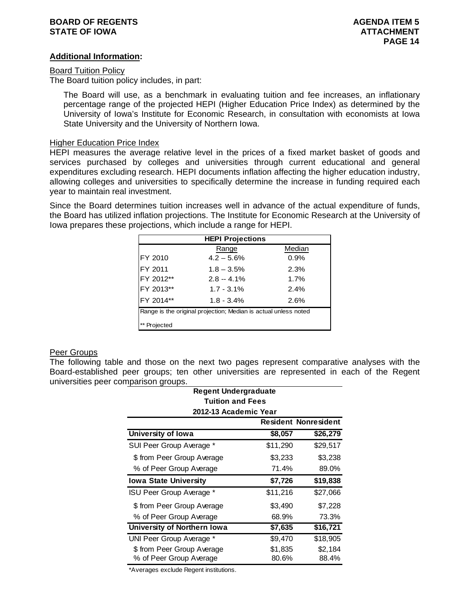# **BOARD OF REGENTS AGENERAL ITEM 5 AGENERAL ITEM 5 STATE OF IOWA** AND **ATTACHMENT ATTACHMENT**

## **Additional Information:**

### Board Tuition Policy

The Board tuition policy includes, in part:

The Board will use, as a benchmark in evaluating tuition and fee increases, an inflationary percentage range of the projected HEPI (Higher Education Price Index) as determined by the University of Iowa's Institute for Economic Research, in consultation with economists at Iowa State University and the University of Northern Iowa.

### Higher Education Price Index

HEPI measures the average relative level in the prices of a fixed market basket of goods and services purchased by colleges and universities through current educational and general expenditures excluding research. HEPI documents inflation affecting the higher education industry, allowing colleges and universities to specifically determine the increase in funding required each year to maintain real investment.

Since the Board determines tuition increases well in advance of the actual expenditure of funds, the Board has utilized inflation projections. The Institute for Economic Research at the University of Iowa prepares these projections, which include a range for HEPI.

| <b>HEPI Projections</b>                                         |               |        |  |  |
|-----------------------------------------------------------------|---------------|--------|--|--|
|                                                                 | Range         | Median |  |  |
| FY 2010                                                         | $4.2 - 5.6%$  | 0.9%   |  |  |
| FY 2011                                                         | $1.8 - 3.5%$  | 2.3%   |  |  |
| FY 2012**                                                       | $2.8 - 4.1\%$ | 1.7%   |  |  |
| FY 2013**                                                       | $1.7 - 3.1\%$ | 2.4%   |  |  |
| FY 2014**                                                       | $1.8 - 3.4%$  | 2.6%   |  |  |
| Range is the original projection; Median is actual unless noted |               |        |  |  |
| Projected                                                       |               |        |  |  |

### Peer Groups

The following table and those on the next two pages represent comparative analyses with the Board-established peer groups; ten other universities are represented in each of the Regent universities peer comparison groups.

| <b>Regent Undergraduate</b>  |          |                             |  |  |  |
|------------------------------|----------|-----------------------------|--|--|--|
| <b>Tuition and Fees</b>      |          |                             |  |  |  |
| 2012-13 Academic Year        |          |                             |  |  |  |
|                              |          | <b>Resident Nonresident</b> |  |  |  |
| University of Iowa           | \$8,057  | \$26,279                    |  |  |  |
| SUI Peer Group Average *     | \$11,290 | \$29,517                    |  |  |  |
| \$ from Peer Group Average   | \$3,233  | \$3,238                     |  |  |  |
| % of Peer Group Average      | 71.4%    | 89.0%                       |  |  |  |
| <b>Iowa State University</b> | \$7,726  | \$19,838                    |  |  |  |
| ISU Peer Group Average *     | \$11,216 | \$27,066                    |  |  |  |
| \$ from Peer Group Average   | \$3,490  | \$7,228                     |  |  |  |
| % of Peer Group Average      | 68.9%    | 73.3%                       |  |  |  |
| University of Northern Iowa  | \$7,635  | \$16,721                    |  |  |  |
| UNI Peer Group Average *     | \$9,470  | \$18,905                    |  |  |  |
| \$ from Peer Group Average   | \$1,835  | \$2,184                     |  |  |  |
| % of Peer Group Average      | 80.6%    | 88.4%                       |  |  |  |

\*Averages exclude Regent institutions.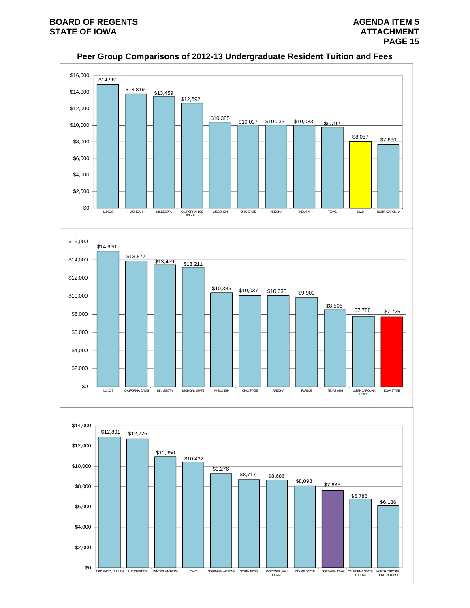

**Peer Group Comparisons of 2012-13 Undergraduate Resident Tuition and Fees**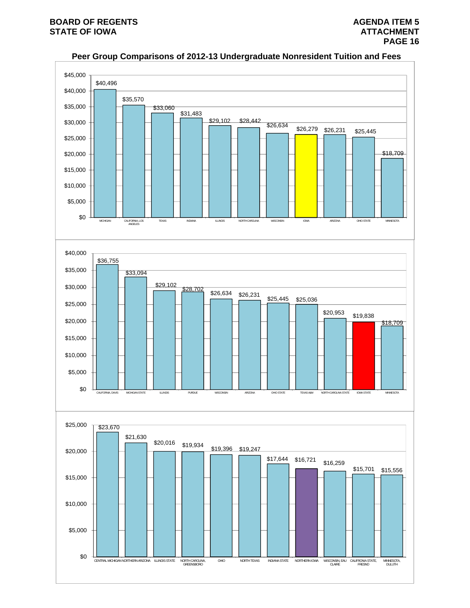

# **Peer Group Comparisons of 2012-13 Undergraduate Nonresident Tuition and Fees**